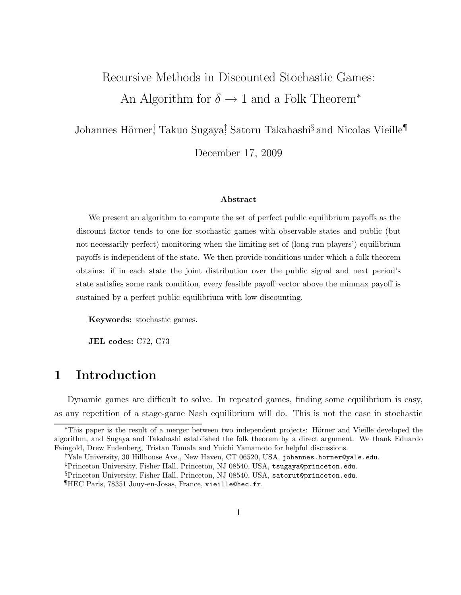# Recursive Methods in Discounted Stochastic Games: An Algorithm for  $\delta \rightarrow 1$  and a Folk Theorem<sup>\*</sup>

# Johannes Hörner<sup>†</sup> Takuo Sugaya<sup>‡</sup> Satoru Takahashi<sup>§</sup> and Nicolas Vieille¶

December 17, 2009

#### Abstract

We present an algorithm to compute the set of perfect public equilibrium payoffs as the discount factor tends to one for stochastic games with observable states and public (but not necessarily perfect) monitoring when the limiting set of (long-run players') equilibrium payoffs is independent of the state. We then provide conditions under which a folk theorem obtains: if in each state the joint distribution over the public signal and next period's state satisfies some rank condition, every feasible payoff vector above the minmax payoff is sustained by a perfect public equilibrium with low discounting.

Keywords: stochastic games.

JEL codes: C72, C73

# 1 Introduction

Dynamic games are difficult to solve. In repeated games, finding some equilibrium is easy, as any repetition of a stage-game Nash equilibrium will do. This is not the case in stochastic

§Princeton University, Fisher Hall, Princeton, NJ 08540, USA, satorut@princeton.edu.

<sup>∗</sup>This paper is the result of a merger between two independent projects: H¨orner and Vieille developed the algorithm, and Sugaya and Takahashi established the folk theorem by a direct argument. We thank Eduardo Faingold, Drew Fudenberg, Tristan Tomala and Yuichi Yamamoto for helpful discussions.

<sup>†</sup>Yale University, 30 Hillhouse Ave., New Haven, CT 06520, USA, johannes.horner@yale.edu.

<sup>‡</sup>Princeton University, Fisher Hall, Princeton, NJ 08540, USA, tsugaya@princeton.edu.

<sup>¶</sup>HEC Paris, 78351 Jouy-en-Josas, France, vieille@hec.fr.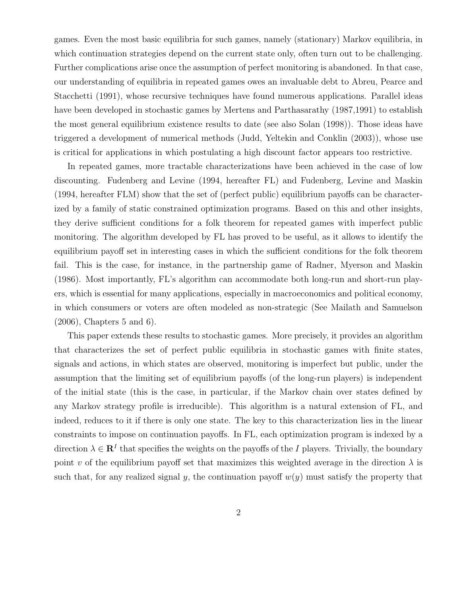games. Even the most basic equilibria for such games, namely (stationary) Markov equilibria, in which continuation strategies depend on the current state only, often turn out to be challenging. Further complications arise once the assumption of perfect monitoring is abandoned. In that case, our understanding of equilibria in repeated games owes an invaluable debt to Abreu, Pearce and Stacchetti (1991), whose recursive techniques have found numerous applications. Parallel ideas have been developed in stochastic games by Mertens and Parthasarathy (1987,1991) to establish the most general equilibrium existence results to date (see also Solan (1998)). Those ideas have triggered a development of numerical methods (Judd, Yeltekin and Conklin (2003)), whose use is critical for applications in which postulating a high discount factor appears too restrictive.

In repeated games, more tractable characterizations have been achieved in the case of low discounting. Fudenberg and Levine (1994, hereafter FL) and Fudenberg, Levine and Maskin (1994, hereafter FLM) show that the set of (perfect public) equilibrium payoffs can be characterized by a family of static constrained optimization programs. Based on this and other insights, they derive sufficient conditions for a folk theorem for repeated games with imperfect public monitoring. The algorithm developed by FL has proved to be useful, as it allows to identify the equilibrium payoff set in interesting cases in which the sufficient conditions for the folk theorem fail. This is the case, for instance, in the partnership game of Radner, Myerson and Maskin (1986). Most importantly, FL's algorithm can accommodate both long-run and short-run players, which is essential for many applications, especially in macroeconomics and political economy, in which consumers or voters are often modeled as non-strategic (See Mailath and Samuelson (2006), Chapters 5 and 6).

This paper extends these results to stochastic games. More precisely, it provides an algorithm that characterizes the set of perfect public equilibria in stochastic games with finite states, signals and actions, in which states are observed, monitoring is imperfect but public, under the assumption that the limiting set of equilibrium payoffs (of the long-run players) is independent of the initial state (this is the case, in particular, if the Markov chain over states defined by any Markov strategy profile is irreducible). This algorithm is a natural extension of FL, and indeed, reduces to it if there is only one state. The key to this characterization lies in the linear constraints to impose on continuation payoffs. In FL, each optimization program is indexed by a direction  $\lambda \in \mathbf{R}^I$  that specifies the weights on the payoffs of the I players. Trivially, the boundary point v of the equilibrium payoff set that maximizes this weighted average in the direction  $\lambda$  is such that, for any realized signal y, the continuation payoff  $w(y)$  must satisfy the property that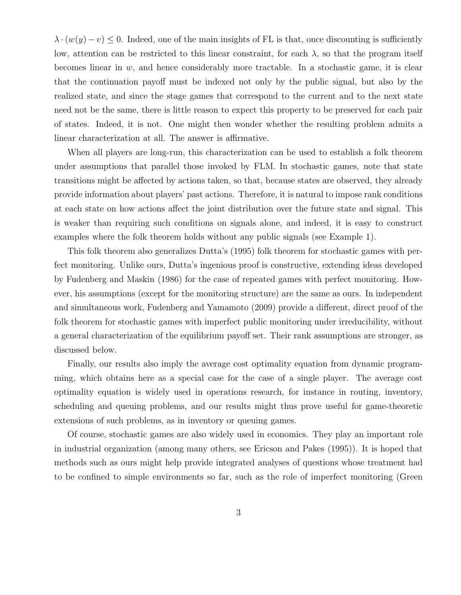$\lambda \cdot (w(y) - v) \leq 0$ . Indeed, one of the main insights of FL is that, once discounting is sufficiently low, attention can be restricted to this linear constraint, for each  $\lambda$ , so that the program itself becomes linear in  $w$ , and hence considerably more tractable. In a stochastic game, it is clear that the continuation payoff must be indexed not only by the public signal, but also by the realized state, and since the stage games that correspond to the current and to the next state need not be the same, there is little reason to expect this property to be preserved for each pair of states. Indeed, it is not. One might then wonder whether the resulting problem admits a linear characterization at all. The answer is affirmative.

When all players are long-run, this characterization can be used to establish a folk theorem under assumptions that parallel those invoked by FLM. In stochastic games, note that state transitions might be affected by actions taken, so that, because states are observed, they already provide information about players' past actions. Therefore, it is natural to impose rank conditions at each state on how actions affect the joint distribution over the future state and signal. This is weaker than requiring such conditions on signals alone, and indeed, it is easy to construct examples where the folk theorem holds without any public signals (see Example 1).

This folk theorem also generalizes Dutta's (1995) folk theorem for stochastic games with perfect monitoring. Unlike ours, Dutta's ingenious proof is constructive, extending ideas developed by Fudenberg and Maskin (1986) for the case of repeated games with perfect monitoring. However, his assumptions (except for the monitoring structure) are the same as ours. In independent and simultaneous work, Fudenberg and Yamamoto (2009) provide a different, direct proof of the folk theorem for stochastic games with imperfect public monitoring under irreducibility, without a general characterization of the equilibrium payoff set. Their rank assumptions are stronger, as discussed below.

Finally, our results also imply the average cost optimality equation from dynamic programming, which obtains here as a special case for the case of a single player. The average cost optimality equation is widely used in operations research, for instance in routing, inventory, scheduling and queuing problems, and our results might thus prove useful for game-theoretic extensions of such problems, as in inventory or queuing games.

Of course, stochastic games are also widely used in economics. They play an important role in industrial organization (among many others, see Ericson and Pakes (1995)). It is hoped that methods such as ours might help provide integrated analyses of questions whose treatment had to be confined to simple environments so far, such as the role of imperfect monitoring (Green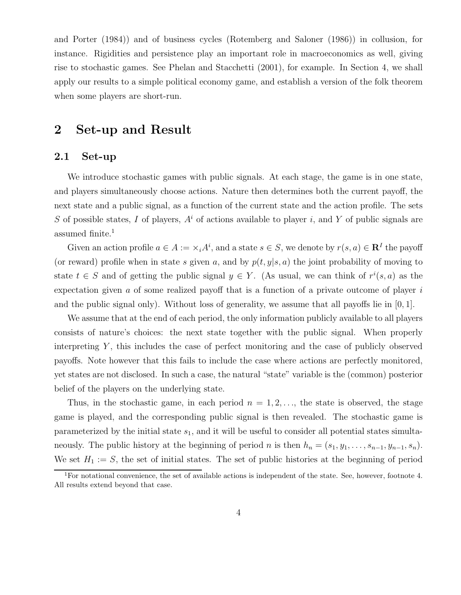and Porter (1984)) and of business cycles (Rotemberg and Saloner (1986)) in collusion, for instance. Rigidities and persistence play an important role in macroeconomics as well, giving rise to stochastic games. See Phelan and Stacchetti (2001), for example. In Section 4, we shall apply our results to a simple political economy game, and establish a version of the folk theorem when some players are short-run.

# 2 Set-up and Result

### 2.1 Set-up

We introduce stochastic games with public signals. At each stage, the game is in one state, and players simultaneously choose actions. Nature then determines both the current payoff, the next state and a public signal, as a function of the current state and the action profile. The sets S of possible states, I of players,  $A^i$  of actions available to player i, and Y of public signals are assumed finite.<sup>1</sup>

Given an action profile  $a \in A := \times_i A^i$ , and a state  $s \in S$ , we denote by  $r(s, a) \in \mathbb{R}^I$  the payoff (or reward) profile when in state s given a, and by  $p(t, y|s, a)$  the joint probability of moving to state  $t \in S$  and of getting the public signal  $y \in Y$ . (As usual, we can think of  $r^i(s, a)$  as the expectation given a of some realized payoff that is a function of a private outcome of player  $i$ and the public signal only). Without loss of generality, we assume that all payoffs lie in  $[0, 1]$ .

We assume that at the end of each period, the only information publicly available to all players consists of nature's choices: the next state together with the public signal. When properly interpreting  $Y$ , this includes the case of perfect monitoring and the case of publicly observed payoffs. Note however that this fails to include the case where actions are perfectly monitored, yet states are not disclosed. In such a case, the natural "state" variable is the (common) posterior belief of the players on the underlying state.

Thus, in the stochastic game, in each period  $n = 1, 2, \ldots$ , the state is observed, the stage game is played, and the corresponding public signal is then revealed. The stochastic game is parameterized by the initial state  $s_1$ , and it will be useful to consider all potential states simultaneously. The public history at the beginning of period n is then  $h_n = (s_1, y_1, \ldots, s_{n-1}, y_{n-1}, s_n)$ . We set  $H_1 := S$ , the set of initial states. The set of public histories at the beginning of period

<sup>&</sup>lt;sup>1</sup>For notational convenience, the set of available actions is independent of the state. See, however, footnote 4. All results extend beyond that case.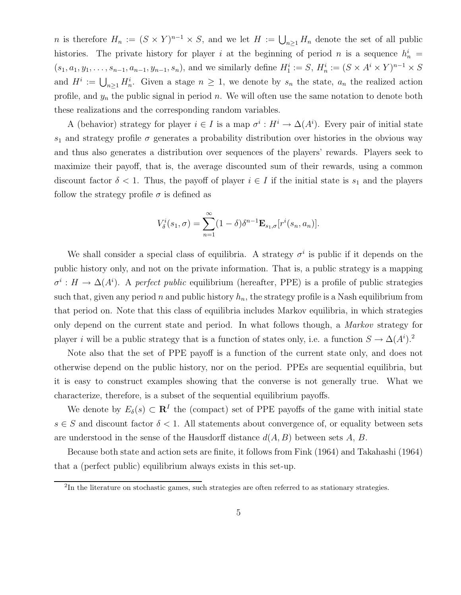n is therefore  $H_n := (S \times Y)^{n-1} \times S$ , and we let  $H := \bigcup_{n \geq 1} H_n$  denote the set of all public histories. The private history for player i at the beginning of period n is a sequence  $h_n^i =$  $(s_1, a_1, y_1, \ldots, s_{n-1}, a_{n-1}, y_{n-1}, s_n)$ , and we similarly define  $H_1^i := S$ ,  $H_n^i := (S \times A^i \times Y)^{n-1} \times S$ and  $H^i := \bigcup_{n \geq 1} H_n^i$ . Given a stage  $n \geq 1$ , we denote by  $s_n$  the state,  $a_n$  the realized action profile, and  $y_n$  the public signal in period n. We will often use the same notation to denote both these realizations and the corresponding random variables.

A (behavior) strategy for player  $i \in I$  is a map  $\sigma^i : H^i \to \Delta(A^i)$ . Every pair of initial state  $s_1$  and strategy profile  $\sigma$  generates a probability distribution over histories in the obvious way and thus also generates a distribution over sequences of the players' rewards. Players seek to maximize their payoff, that is, the average discounted sum of their rewards, using a common discount factor  $\delta < 1$ . Thus, the payoff of player  $i \in I$  if the initial state is  $s_1$  and the players follow the strategy profile  $\sigma$  is defined as

$$
V_{\delta}^{i}(s_1,\sigma)=\sum_{n=1}^{\infty}(1-\delta)\delta^{n-1}\mathbf{E}_{s_1,\sigma}[r^{i}(s_n,a_n)].
$$

We shall consider a special class of equilibria. A strategy  $\sigma^i$  is public if it depends on the public history only, and not on the private information. That is, a public strategy is a mapping  $\sigma^i: H \to \Delta(A^i)$ . A perfect public equilibrium (hereafter, PPE) is a profile of public strategies such that, given any period n and public history  $h_n$ , the strategy profile is a Nash equilibrium from that period on. Note that this class of equilibria includes Markov equilibria, in which strategies only depend on the current state and period. In what follows though, a Markov strategy for player i will be a public strategy that is a function of states only, i.e. a function  $S \to \Delta(A^i)$ .<sup>2</sup>

Note also that the set of PPE payoff is a function of the current state only, and does not otherwise depend on the public history, nor on the period. PPEs are sequential equilibria, but it is easy to construct examples showing that the converse is not generally true. What we characterize, therefore, is a subset of the sequential equilibrium payoffs.

We denote by  $E_{\delta}(s) \subset \mathbf{R}^{I}$  the (compact) set of PPE payoffs of the game with initial state  $s \in S$  and discount factor  $\delta < 1$ . All statements about convergence of, or equality between sets are understood in the sense of the Hausdorff distance  $d(A, B)$  between sets A, B.

Because both state and action sets are finite, it follows from Fink (1964) and Takahashi (1964) that a (perfect public) equilibrium always exists in this set-up.

<sup>&</sup>lt;sup>2</sup>In the literature on stochastic games, such strategies are often referred to as stationary strategies.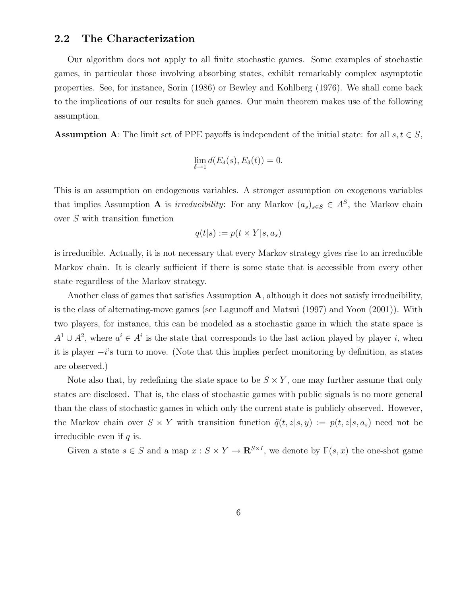### 2.2 The Characterization

Our algorithm does not apply to all finite stochastic games. Some examples of stochastic games, in particular those involving absorbing states, exhibit remarkably complex asymptotic properties. See, for instance, Sorin (1986) or Bewley and Kohlberg (1976). We shall come back to the implications of our results for such games. Our main theorem makes use of the following assumption.

**Assumption A:** The limit set of PPE payoffs is independent of the initial state: for all  $s, t \in S$ ,

$$
\lim_{\delta \to 1} d(E_{\delta}(s), E_{\delta}(t)) = 0.
$$

This is an assumption on endogenous variables. A stronger assumption on exogenous variables that implies Assumption **A** is *irreducibility*: For any Markov  $(a_s)_{s \in S} \in A^S$ , the Markov chain over S with transition function

$$
q(t|s) := p(t \times Y|s, a_s)
$$

is irreducible. Actually, it is not necessary that every Markov strategy gives rise to an irreducible Markov chain. It is clearly sufficient if there is some state that is accessible from every other state regardless of the Markov strategy.

Another class of games that satisfies Assumption  $A$ , although it does not satisfy irreducibility, is the class of alternating-move games (see Lagunoff and Matsui (1997) and Yoon (2001)). With two players, for instance, this can be modeled as a stochastic game in which the state space is  $A^1 \cup A^2$ , where  $a^i \in A^i$  is the state that corresponds to the last action played by player i, when it is player  $-i$ 's turn to move. (Note that this implies perfect monitoring by definition, as states are observed.)

Note also that, by redefining the state space to be  $S \times Y$ , one may further assume that only states are disclosed. That is, the class of stochastic games with public signals is no more general than the class of stochastic games in which only the current state is publicly observed. However, the Markov chain over  $S \times Y$  with transition function  $\tilde{q}(t, z|s, y) := p(t, z|s, a_s)$  need not be irreducible even if  $q$  is.

Given a state  $s \in S$  and a map  $x : S \times Y \to \mathbb{R}^{S \times I}$ , we denote by  $\Gamma(s, x)$  the one-shot game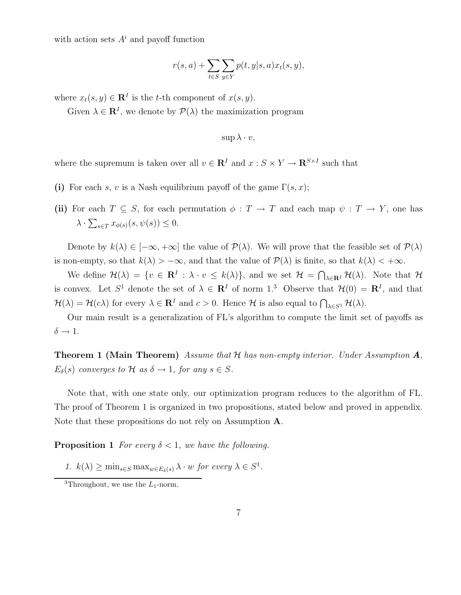with action sets  $A^i$  and payoff function

$$
r(s,a) + \sum_{t \in S} \sum_{y \in Y} p(t,y|s,a) x_t(s,y),
$$

where  $x_t(s, y) \in \mathbf{R}^I$  is the t-th component of  $x(s, y)$ .

Given  $\lambda \in \mathbf{R}^{I}$ , we denote by  $\mathcal{P}(\lambda)$  the maximization program

$$
\sup \lambda \cdot v,
$$

where the supremum is taken over all  $v \in \mathbb{R}^I$  and  $x : S \times Y \to \mathbb{R}^{S \times I}$  such that

- (i) For each s, v is a Nash equilibrium payoff of the game  $\Gamma(s, x)$ ;
- (ii) For each  $T \subseteq S$ , for each permutation  $\phi : T \to T$  and each map  $\psi : T \to Y$ , one has  $\lambda \cdot \sum_{s \in T} x_{\phi(s)}(s, \psi(s)) \leq 0.$

Denote by  $k(\lambda) \in [-\infty, +\infty]$  the value of  $\mathcal{P}(\lambda)$ . We will prove that the feasible set of  $\mathcal{P}(\lambda)$ is non-empty, so that  $k(\lambda) > -\infty$ , and that the value of  $\mathcal{P}(\lambda)$  is finite, so that  $k(\lambda) < +\infty$ .

We define  $\mathcal{H}(\lambda) = \{v \in \mathbf{R}^I : \lambda \cdot v \leq k(\lambda)\}\$ , and we set  $\mathcal{H} = \bigcap_{\lambda \in \mathbf{R}^I} \mathcal{H}(\lambda)$ . Note that  $\mathcal{H}$ is convex. Let  $S^1$  denote the set of  $\lambda \in \mathbb{R}^I$  of norm 1.<sup>3</sup> Observe that  $\mathcal{H}(0) = \mathbb{R}^I$ , and that  $\mathcal{H}(\lambda) = \mathcal{H}(c\lambda)$  for every  $\lambda \in \mathbf{R}^I$  and  $c > 0$ . Hence  $\mathcal{H}$  is also equal to  $\bigcap_{\lambda \in S^1} \mathcal{H}(\lambda)$ .

Our main result is a generalization of FL's algorithm to compute the limit set of payoffs as  $\delta \rightarrow 1$ .

**Theorem 1 (Main Theorem)** Assume that  $H$  has non-empty interior. Under Assumption  $A$ ,  $E_{\delta}(s)$  converges to  $\mathcal H$  as  $\delta \to 1$ , for any  $s \in S$ .

Note that, with one state only, our optimization program reduces to the algorithm of FL. The proof of Theorem 1 is organized in two propositions, stated below and proved in appendix. Note that these propositions do not rely on Assumption A.

**Proposition 1** For every  $\delta < 1$ , we have the following.

1.  $k(\lambda) \ge \min_{s \in S} \max_{w \in E_{\delta}(s)} \lambda \cdot w$  for every  $\lambda \in S^1$ .

<sup>&</sup>lt;sup>3</sup>Throughout, we use the  $L_1$ -norm.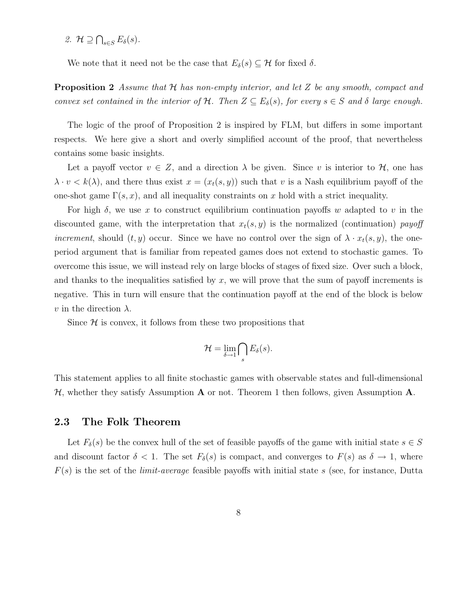2.  $\mathcal{H} \supseteq \bigcap_{s\in S} E_{\delta}(s)$ .

We note that it need not be the case that  $E_{\delta}(s) \subseteq \mathcal{H}$  for fixed  $\delta$ .

**Proposition 2** Assume that  $H$  has non-empty interior, and let  $Z$  be any smooth, compact and convex set contained in the interior of H. Then  $Z \subseteq E_{\delta}(s)$ , for every  $s \in S$  and  $\delta$  large enough.

The logic of the proof of Proposition 2 is inspired by FLM, but differs in some important respects. We here give a short and overly simplified account of the proof, that nevertheless contains some basic insights.

Let a payoff vector  $v \in Z$ , and a direction  $\lambda$  be given. Since v is interior to  $\mathcal{H}$ , one has  $\lambda \cdot v \leq k(\lambda)$ , and there thus exist  $x = (x_t(s, y))$  such that v is a Nash equilibrium payoff of the one-shot game  $\Gamma(s, x)$ , and all inequality constraints on x hold with a strict inequality.

For high  $\delta$ , we use x to construct equilibrium continuation payoffs w adapted to v in the discounted game, with the interpretation that  $x_t(s, y)$  is the normalized (continuation) payoff *increment*, should  $(t, y)$  occur. Since we have no control over the sign of  $\lambda \cdot x_t(s, y)$ , the oneperiod argument that is familiar from repeated games does not extend to stochastic games. To overcome this issue, we will instead rely on large blocks of stages of fixed size. Over such a block, and thanks to the inequalities satisfied by  $x$ , we will prove that the sum of payoff increments is negative. This in turn will ensure that the continuation payoff at the end of the block is below  $v$  in the direction  $\lambda$ .

Since  $\mathcal H$  is convex, it follows from these two propositions that

$$
\mathcal{H}=\lim_{\delta\to 1}\bigcap_{s}E_{\delta}(s).
$$

This statement applies to all finite stochastic games with observable states and full-dimensional  $\mathcal{H}$ , whether they satisfy Assumption **A** or not. Theorem 1 then follows, given Assumption **A**.

#### 2.3 The Folk Theorem

Let  $F_\delta(s)$  be the convex hull of the set of feasible payoffs of the game with initial state  $s \in S$ and discount factor  $\delta < 1$ . The set  $F_{\delta}(s)$  is compact, and converges to  $F(s)$  as  $\delta \to 1$ , where  $F(s)$  is the set of the *limit-average* feasible payoffs with initial state s (see, for instance, Dutta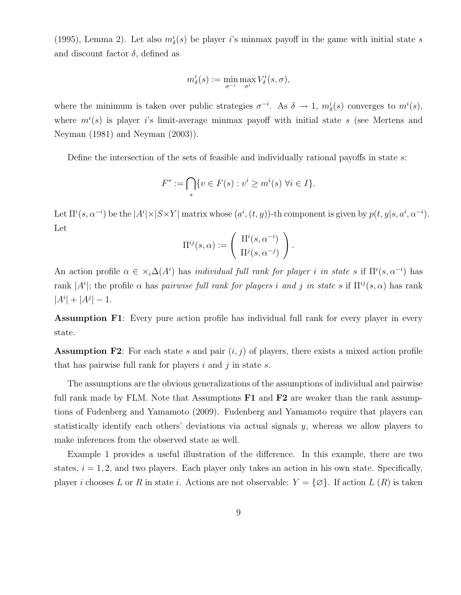(1995), Lemma 2). Let also  $m^i_{\delta}(s)$  be player *i*'s minmax payoff in the game with initial state *s* and discount factor  $\delta$ , defined as

$$
m^i_\delta(s):=\min_{\sigma^{-i}}\max_{\sigma^i}V^i_\delta(s,\sigma),
$$

where the minimum is taken over public strategies  $\sigma^{-i}$ . As  $\delta \to 1$ ,  $m_{\delta}^{i}(s)$  converges to  $m^{i}(s)$ , where  $m^{i}(s)$  is player is limit-average minmax payoff with initial state s (see Mertens and Neyman (1981) and Neyman (2003)).

Define the intersection of the sets of feasible and individually rational payoffs in state s:

$$
F^* := \bigcap_s \{ v \in F(s) : v^i \ge m^i(s) \,\,\forall i \in I \}.
$$

Let  $\Pi^{i}(s, \alpha^{-i})$  be the  $|A^{i}| \times |S \times Y|$  matrix whose  $(a^{i}, (t, y))$ -th component is given by  $p(t, y|s, a^{i}, \alpha^{-i})$ . Let

$$
\Pi^{ij}(s,\alpha) := \left(\begin{array}{c} \Pi^i(s,\alpha^{-i}) \\ \Pi^j(s,\alpha^{-j}) \end{array}\right).
$$

An action profile  $\alpha \in \times_i \Delta(A^i)$  has *individual full rank for player i in state s* if  $\Pi^i(s, \alpha^{-i})$  has rank  $|A^i|$ ; the profile  $\alpha$  has pairwise full rank for players i and j in state s if  $\Pi^{ij}(s,\alpha)$  has rank  $|A^i| + |A^j| - 1.$ 

Assumption F1: Every pure action profile has individual full rank for every player in every state.

**Assumption F2**: For each state s and pair  $(i, j)$  of players, there exists a mixed action profile that has pairwise full rank for players  $i$  and  $j$  in state  $s$ .

The assumptions are the obvious generalizations of the assumptions of individual and pairwise full rank made by FLM. Note that Assumptions  $F1$  and  $F2$  are weaker than the rank assumptions of Fudenberg and Yamamoto (2009). Fudenberg and Yamamoto require that players can statistically identify each others' deviations via actual signals  $\psi$ , whereas we allow players to make inferences from the observed state as well.

Example 1 provides a useful illustration of the difference. In this example, there are two states,  $i = 1, 2$ , and two players. Each player only takes an action in his own state. Specifically, player i chooses L or R in state i. Actions are not observable:  $Y = \{ \varnothing \}$ . If action L  $(R)$  is taken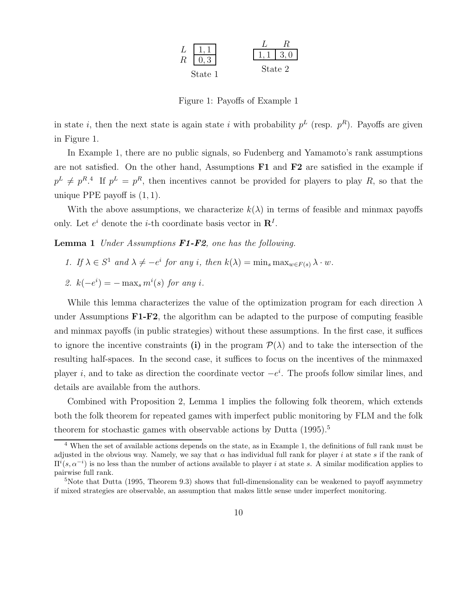

Figure 1: Payoffs of Example 1

in state *i*, then the next state is again state *i* with probability  $p<sup>L</sup>$  (resp.  $p<sup>R</sup>$ ). Payoffs are given in Figure 1.

In Example 1, there are no public signals, so Fudenberg and Yamamoto's rank assumptions are not satisfied. On the other hand, Assumptions  $F1$  and  $F2$  are satisfied in the example if  $p^L \neq p^R$ <sup>4</sup>. If  $p^L = p^R$ , then incentives cannot be provided for players to play R, so that the unique PPE payoff is  $(1, 1)$ .

With the above assumptions, we characterize  $k(\lambda)$  in terms of feasible and minmax payoffs only. Let  $e^i$  denote the *i*-th coordinate basis vector in  $\mathbb{R}^I$ .

**Lemma 1** Under Assumptions  $F1-F2$ , one has the following.

- 1. If  $\lambda \in S^1$  and  $\lambda \neq -e^i$  for any i, then  $k(\lambda) = \min_s \max_{w \in F(s)} \lambda \cdot w$ .
- 2.  $k(-e^i) = -\max_s m^i(s)$  for any i.

While this lemma characterizes the value of the optimization program for each direction  $\lambda$ under Assumptions  $\mathbf{F1}\text{-}\mathbf{F2}$ , the algorithm can be adapted to the purpose of computing feasible and minmax payoffs (in public strategies) without these assumptions. In the first case, it suffices to ignore the incentive constraints (i) in the program  $\mathcal{P}(\lambda)$  and to take the intersection of the resulting half-spaces. In the second case, it suffices to focus on the incentives of the minmaxed player i, and to take as direction the coordinate vector  $-e^{i}$ . The proofs follow similar lines, and details are available from the authors.

Combined with Proposition 2, Lemma 1 implies the following folk theorem, which extends both the folk theorem for repeated games with imperfect public monitoring by FLM and the folk theorem for stochastic games with observable actions by Dutta  $(1995)^5$ .

<sup>4</sup> When the set of available actions depends on the state, as in Example 1, the definitions of full rank must be adjusted in the obvious way. Namely, we say that  $\alpha$  has individual full rank for player i at state s if the rank of  $\Pi^{i}(s, \alpha^{-i})$  is no less than the number of actions available to player i at state s. A similar modification applies to pairwise full rank.

<sup>&</sup>lt;sup>5</sup>Note that Dutta (1995, Theorem 9.3) shows that full-dimensionality can be weakened to payoff asymmetry if mixed strategies are observable, an assumption that makes little sense under imperfect monitoring.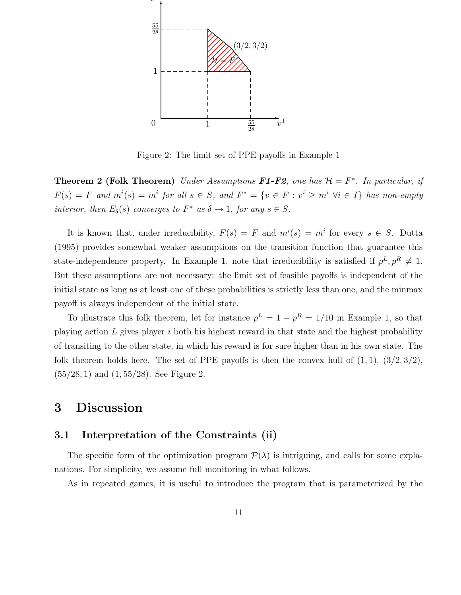

Figure 2: The limit set of PPE payoffs in Example 1

**Theorem 2 (Folk Theorem)** Under Assumptions **F1-F2**, one has  $\mathcal{H} = F^*$ . In particular, if  $F(s) = F$  and  $m^i(s) = m^i$  for all  $s \in S$ , and  $F^* = \{v \in F : v^i \ge m^i \ \forall i \in I\}$  has non-empty interior, then  $E_{\delta}(s)$  converges to  $F^*$  as  $\delta \to 1$ , for any  $s \in S$ .

It is known that, under irreducibility,  $F(s) = F$  and  $m^{i}(s) = m^{i}$  for every  $s \in S$ . Dutta (1995) provides somewhat weaker assumptions on the transition function that guarantee this state-independence property. In Example 1, note that irreducibility is satisfied if  $p^L, p^R \neq 1$ . But these assumptions are not necessary: the limit set of feasible payoffs is independent of the initial state as long as at least one of these probabilities is strictly less than one, and the minmax payoff is always independent of the initial state.

To illustrate this folk theorem, let for instance  $p^L = 1 - p^R = 1/10$  in Example 1, so that playing action  $L$  gives player  $i$  both his highest reward in that state and the highest probability of transiting to the other state, in which his reward is for sure higher than in his own state. The folk theorem holds here. The set of PPE payoffs is then the convex hull of  $(1,1)$ ,  $(3/2,3/2)$ , (55/28, 1) and (1, 55/28). See Figure 2.

# 3 Discussion

### 3.1 Interpretation of the Constraints (ii)

The specific form of the optimization program  $\mathcal{P}(\lambda)$  is intriguing, and calls for some explanations. For simplicity, we assume full monitoring in what follows.

As in repeated games, it is useful to introduce the program that is parameterized by the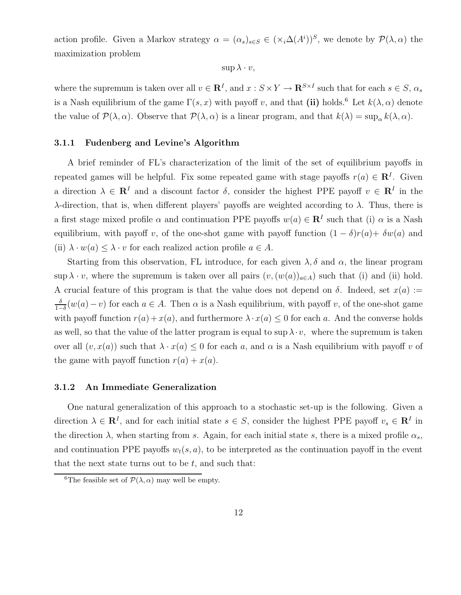action profile. Given a Markov strategy  $\alpha = (\alpha_s)_{s \in S} \in (\times_i \Delta(A^i))^S$ , we denote by  $\mathcal{P}(\lambda, \alpha)$  the maximization problem

 $\sup \lambda \cdot v$ ,

where the supremum is taken over all  $v \in \mathbb{R}^I$ , and  $x : S \times Y \to \mathbb{R}^{S \times I}$  such that for each  $s \in S$ ,  $\alpha_s$ is a Nash equilibrium of the game  $\Gamma(s, x)$  with payoff v, and that (ii) holds.<sup>6</sup> Let  $k(\lambda, \alpha)$  denote the value of  $\mathcal{P}(\lambda, \alpha)$ . Observe that  $\mathcal{P}(\lambda, \alpha)$  is a linear program, and that  $k(\lambda) = \sup_{\alpha} k(\lambda, \alpha)$ .

#### 3.1.1 Fudenberg and Levine's Algorithm

A brief reminder of FL's characterization of the limit of the set of equilibrium payoffs in repeated games will be helpful. Fix some repeated game with stage payoffs  $r(a) \in \mathbb{R}^I$ . Given a direction  $\lambda \in \mathbb{R}^I$  and a discount factor  $\delta$ , consider the highest PPE payoff  $v \in \mathbb{R}^I$  in the λ-direction, that is, when different players' payoffs are weighted according to λ. Thus, there is a first stage mixed profile  $\alpha$  and continuation PPE payoffs  $w(a) \in \mathbb{R}^I$  such that (i)  $\alpha$  is a Nash equilibrium, with payoff v, of the one-shot game with payoff function  $(1 - \delta)r(a) + \delta w(a)$  and (ii)  $\lambda \cdot w(a) \leq \lambda \cdot v$  for each realized action profile  $a \in A$ .

Starting from this observation, FL introduce, for each given  $\lambda$ ,  $\delta$  and  $\alpha$ , the linear program  $\sup \lambda \cdot v$ , where the supremum is taken over all pairs  $(v,(w(a))_{a\in A})$  such that (i) and (ii) hold. A crucial feature of this program is that the value does not depend on  $\delta$ . Indeed, set  $x(a) :=$ δ  $\frac{\delta}{1-\delta}(w(a)-v)$  for each  $a \in A$ . Then  $\alpha$  is a Nash equilibrium, with payoff v, of the one-shot game with payoff function  $r(a) + x(a)$ , and furthermore  $\lambda \cdot x(a) \leq 0$  for each a. And the converse holds as well, so that the value of the latter program is equal to sup  $\lambda \cdot v$ , where the supremum is taken over all  $(v, x(a))$  such that  $\lambda \cdot x(a) \leq 0$  for each a, and  $\alpha$  is a Nash equilibrium with payoff v of the game with payoff function  $r(a) + x(a)$ .

#### 3.1.2 An Immediate Generalization

One natural generalization of this approach to a stochastic set-up is the following. Given a direction  $\lambda \in \mathbb{R}^I$ , and for each initial state  $s \in S$ , consider the highest PPE payoff  $v_s \in \mathbb{R}^I$  in the direction  $\lambda$ , when starting from s. Again, for each initial state s, there is a mixed profile  $\alpha_s$ , and continuation PPE payoffs  $w_t(s, a)$ , to be interpreted as the continuation payoff in the event that the next state turns out to be  $t$ , and such that:

<sup>&</sup>lt;sup>6</sup>The feasible set of  $\mathcal{P}(\lambda, \alpha)$  may well be empty.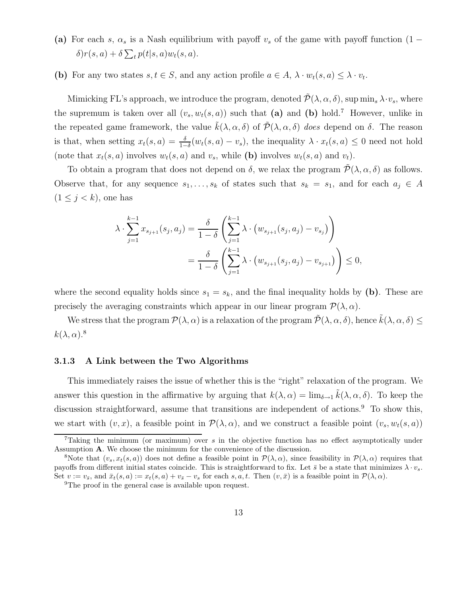- (a) For each s,  $\alpha_s$  is a Nash equilibrium with payoff  $v_s$  of the game with payoff function (1  $\delta$ ) $r(s, a) + \delta \sum_t p(t|s, a) w_t(s, a).$
- (b) For any two states  $s, t \in S$ , and any action profile  $a \in A$ ,  $\lambda \cdot w_t(s, a) \leq \lambda \cdot v_t$ .

Mimicking FL's approach, we introduce the program, denoted  $\tilde{\mathcal{P}}(\lambda,\alpha,\delta)$ , sup min<sub>s</sub>  $\lambda \cdot v_s$ , where the supremum is taken over all  $(v_s, w_t(s, a))$  such that (a) and (b) hold.<sup>7</sup> However, unlike in the repeated game framework, the value  $\tilde{k}(\lambda, \alpha, \delta)$  of  $\tilde{\mathcal{P}}(\lambda, \alpha, \delta)$  does depend on  $\delta$ . The reason is that, when setting  $x_t(s, a) = \frac{\delta}{1-\delta}(w_t(s, a) - v_s)$ , the inequality  $\lambda \cdot x_t(s, a) \leq 0$  need not hold (note that  $x_t(s, a)$  involves  $w_t(s, a)$  and  $v_s$ , while (b) involves  $w_t(s, a)$  and  $v_t$ ).

To obtain a program that does not depend on  $\delta$ , we relax the program  $\mathcal{P}(\lambda, \alpha, \delta)$  as follows. Observe that, for any sequence  $s_1, \ldots, s_k$  of states such that  $s_k = s_1$ , and for each  $a_j \in A$  $(1 \leq j < k)$ , one has

$$
\lambda \cdot \sum_{j=1}^{k-1} x_{s_{j+1}}(s_j, a_j) = \frac{\delta}{1-\delta} \left( \sum_{j=1}^{k-1} \lambda \cdot (w_{s_{j+1}}(s_j, a_j) - v_{s_j}) \right)
$$
  
= 
$$
\frac{\delta}{1-\delta} \left( \sum_{j=1}^{k-1} \lambda \cdot (w_{s_{j+1}}(s_j, a_j) - v_{s_{j+1}}) \right) \le 0,
$$

where the second equality holds since  $s_1 = s_k$ , and the final inequality holds by (b). These are precisely the averaging constraints which appear in our linear program  $\mathcal{P}(\lambda, \alpha)$ .

We stress that the program  $\mathcal{P}(\lambda,\alpha)$  is a relaxation of the program  $\mathcal{P}(\lambda,\alpha,\delta)$ , hence  $\hat{k}(\lambda,\alpha,\delta) \leq$  $k(\lambda, \alpha)$ .<sup>8</sup>

#### 3.1.3 A Link between the Two Algorithms

This immediately raises the issue of whether this is the "right" relaxation of the program. We answer this question in the affirmative by arguing that  $k(\lambda, \alpha) = \lim_{\delta \to 1} \tilde{k}(\lambda, \alpha, \delta)$ . To keep the discussion straightforward, assume that transitions are independent of actions.<sup>9</sup> To show this, we start with  $(v, x)$ , a feasible point in  $\mathcal{P}(\lambda, \alpha)$ , and we construct a feasible point  $(v_s, w_t(s, a))$ 

<sup>&</sup>lt;sup>7</sup>Taking the minimum (or maximum) over  $s$  in the objective function has no effect asymptotically under Assumption A. We choose the minimum for the convenience of the discussion.

<sup>&</sup>lt;sup>8</sup>Note that  $(v_s, x_t(s, a))$  does not define a feasible point in  $\mathcal{P}(\lambda, \alpha)$ , since feasibility in  $\mathcal{P}(\lambda, \alpha)$  requires that payoffs from different initial states coincide. This is straightforward to fix. Let  $\bar{s}$  be a state that minimizes  $\lambda \cdot v_s$ . Set  $v := v_{\overline{s}}$ , and  $\bar{x}_t(s, a) := x_t(s, a) + v_{\overline{s}} - v_s$  for each  $s, a, t$ . Then  $(v, \bar{x})$  is a feasible point in  $\mathcal{P}(\lambda, \alpha)$ .

<sup>&</sup>lt;sup>9</sup>The proof in the general case is available upon request.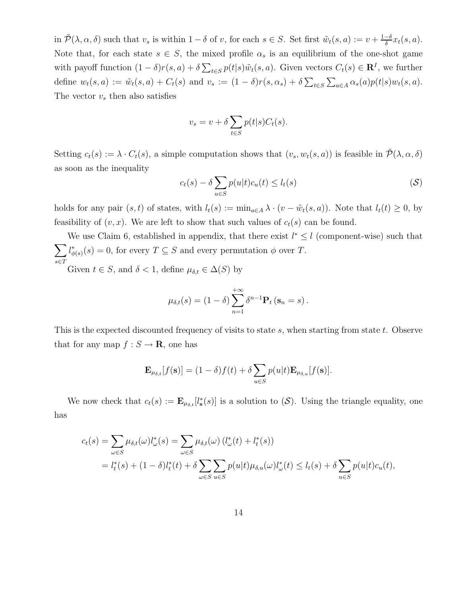in  $\tilde{\mathcal{P}}(\lambda,\alpha,\delta)$  such that  $v_s$  is within  $1-\delta$  of v, for each  $s \in S$ . Set first  $\tilde{w}_t(s,a) := v + \frac{1-\delta}{\delta}$  $\frac{-\delta}{\delta}x_t(s,a).$ Note that, for each state  $s \in S$ , the mixed profile  $\alpha_s$  is an equilibrium of the one-shot game with payoff function  $(1 - \delta)r(s, a) + \delta \sum_{t \in S} p(t|s)\tilde{w}_t(s, a)$ . Given vectors  $C_t(s) \in \mathbb{R}^I$ , we further define  $w_t(s, a) := \tilde{w}_t(s, a) + C_t(s)$  and  $v_s := (1 - \delta)r(s, \alpha_s) + \delta \sum_{t \in S} \sum_{a \in A} \alpha_s(a)p(t|s)w_t(s, a)$ . The vector  $v_s$  then also satisfies

$$
v_s = v + \delta \sum_{t \in S} p(t|s)C_t(s).
$$

Setting  $c_t(s) := \lambda \cdot C_t(s)$ , a simple computation shows that  $(v_s, w_t(s, a))$  is feasible in  $\mathcal{P}(\lambda, \alpha, \delta)$ as soon as the inequality

$$
c_t(s) - \delta \sum_{u \in S} p(u|t)c_u(t) \le l_t(s)
$$
 (S)

holds for any pair  $(s, t)$  of states, with  $l_t(s) := \min_{a \in A} \lambda \cdot (v - \tilde{w}_t(s, a))$ . Note that  $l_t(t) \geq 0$ , by feasibility of  $(v, x)$ . We are left to show that such values of  $c_t(s)$  can be found.

We use Claim 6, established in appendix, that there exist  $l^* \leq l$  (component-wise) such that  $\sum$ s∈T  $l^*_{\phi(s)}(s) = 0$ , for every  $T \subseteq S$  and every permutation  $\phi$  over T.

Given  $t \in S$ , and  $\delta < 1$ , define  $\mu_{\delta,t} \in \Delta(S)$  by

$$
\mu_{\delta,t}(s) = (1-\delta) \sum_{n=1}^{+\infty} \delta^{n-1} \mathbf{P}_t \left(\mathbf{s}_n = s\right).
$$

This is the expected discounted frequency of visits to state  $s$ , when starting from state  $t$ . Observe that for any map  $f : S \to \mathbf{R}$ , one has

$$
\mathbf{E}_{\mu_{\delta,t}}[f(\mathbf{s})] = (1-\delta)f(t) + \delta \sum_{u \in S} p(u|t) \mathbf{E}_{\mu_{\delta,u}}[f(\mathbf{s})].
$$

We now check that  $c_t(s) := \mathbf{E}_{\mu_{\delta,t}}[l^*_s(s)]$  is a solution to  $(\mathcal{S})$ . Using the triangle equality, one has

$$
c_t(s) = \sum_{\omega \in S} \mu_{\delta,t}(\omega) l^*_{\omega}(s) = \sum_{\omega \in S} \mu_{\delta,t}(\omega) (l^*_{\omega}(t) + l^*_{t}(s))
$$
  
= 
$$
l^*_{t}(s) + (1 - \delta) l^*_{t}(t) + \delta \sum_{\omega \in S} \sum_{u \in S} p(u|t) \mu_{\delta,u}(\omega) l^*_{\omega}(t) \le l_t(s) + \delta \sum_{u \in S} p(u|t) c_u(t),
$$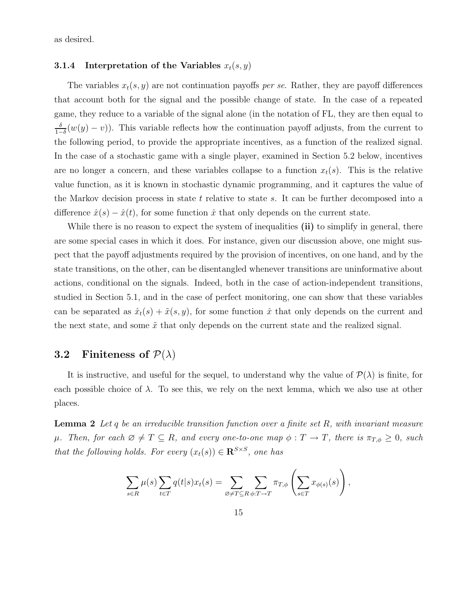as desired.

#### 3.1.4 Interpretation of the Variables  $x_t(s, y)$

The variables  $x_t(s, y)$  are not continuation payoffs per se. Rather, they are payoff differences that account both for the signal and the possible change of state. In the case of a repeated game, they reduce to a variable of the signal alone (in the notation of FL, they are then equal to δ  $\frac{\delta}{1-\delta}(w(y)-v)$ ). This variable reflects how the continuation payoff adjusts, from the current to the following period, to provide the appropriate incentives, as a function of the realized signal. In the case of a stochastic game with a single player, examined in Section 5.2 below, incentives are no longer a concern, and these variables collapse to a function  $x_t(s)$ . This is the relative value function, as it is known in stochastic dynamic programming, and it captures the value of the Markov decision process in state  $t$  relative to state  $s$ . It can be further decomposed into a difference  $\hat{x}(s) - \hat{x}(t)$ , for some function  $\hat{x}$  that only depends on the current state.

While there is no reason to expect the system of inequalities (ii) to simplify in general, there are some special cases in which it does. For instance, given our discussion above, one might suspect that the payoff adjustments required by the provision of incentives, on one hand, and by the state transitions, on the other, can be disentangled whenever transitions are uninformative about actions, conditional on the signals. Indeed, both in the case of action-independent transitions, studied in Section 5.1, and in the case of perfect monitoring, one can show that these variables can be separated as  $\hat{x}_t(s) + \tilde{x}(s, y)$ , for some function  $\hat{x}$  that only depends on the current and the next state, and some  $\tilde{x}$  that only depends on the current state and the realized signal.

# 3.2 Finiteness of  $\mathcal{P}(\lambda)$

It is instructive, and useful for the sequel, to understand why the value of  $\mathcal{P}(\lambda)$  is finite, for each possible choice of  $\lambda$ . To see this, we rely on the next lemma, which we also use at other places.

**Lemma 2** Let q be an irreducible transition function over a finite set R, with invariant measure  $\mu$ . Then, for each  $\emptyset \neq T \subseteq R$ , and every one-to-one map  $\phi : T \to T$ , there is  $\pi_{T,\phi} \geq 0$ , such that the following holds. For every  $(x_t(s)) \in \mathbb{R}^{S \times S}$ , one has

$$
\sum_{s \in R} \mu(s) \sum_{t \in T} q(t|s) x_t(s) = \sum_{\varnothing \neq T \subseteq R} \sum_{\phi: T \to T} \pi_{T,\phi} \left( \sum_{s \in T} x_{\phi(s)}(s) \right),
$$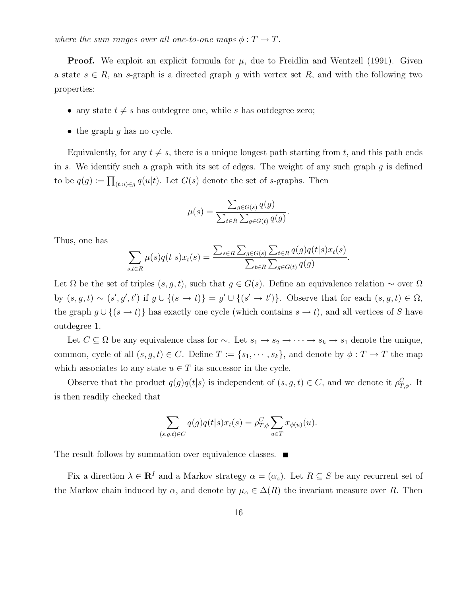where the sum ranges over all one-to-one maps  $\phi: T \to T$ .

**Proof.** We exploit an explicit formula for  $\mu$ , due to Freidlin and Wentzell (1991). Given a state  $s \in R$ , an s-graph is a directed graph g with vertex set R, and with the following two properties:

- any state  $t \neq s$  has outdegree one, while s has outdegree zero;
- $\bullet$  the graph g has no cycle.

Equivalently, for any  $t \neq s$ , there is a unique longest path starting from t, and this path ends in s. We identify such a graph with its set of edges. The weight of any such graph  $g$  is defined to be  $q(g) := \prod_{(t,u)\in g} q(u|t)$ . Let  $G(s)$  denote the set of s-graphs. Then

$$
\mu(s) = \frac{\sum_{g \in G(s)} q(g)}{\sum_{t \in R} \sum_{g \in G(t)} q(g)}.
$$

Thus, one has

$$
\sum_{s,t \in R} \mu(s)q(t|s)x_t(s) = \frac{\sum_{s \in R} \sum_{g \in G(s)} \sum_{t \in R} q(g)q(t|s)x_t(s)}{\sum_{t \in R} \sum_{g \in G(t)} q(g)}
$$

.

Let  $\Omega$  be the set of triples  $(s, g, t)$ , such that  $g \in G(s)$ . Define an equivalence relation ~ over  $\Omega$ by  $(s, g, t) \sim (s', g', t')$  if  $g \cup \{(s \to t)\} = g' \cup \{(s' \to t')\}$ . Observe that for each  $(s, g, t) \in \Omega$ , the graph  $g \cup \{(s \to t)\}\)$  has exactly one cycle (which contains  $s \to t$ ), and all vertices of S have outdegree 1.

Let  $C \subseteq \Omega$  be any equivalence class for  $\sim$ . Let  $s_1 \to s_2 \to \cdots \to s_k \to s_1$  denote the unique, common, cycle of all  $(s, g, t) \in C$ . Define  $T := \{s_1, \dots, s_k\}$ , and denote by  $\phi : T \to T$  the map which associates to any state  $u \in T$  its successor in the cycle.

Observe that the product  $q(g)q(t|s)$  is independent of  $(s, g, t) \in C$ , and we denote it  $\rho_{T,\phi}^C$ . It is then readily checked that

$$
\sum_{(s,g,t)\in C} q(g)q(t|s)x_t(s) = \rho_{T,\phi}^C \sum_{u\in T} x_{\phi(u)}(u).
$$

The result follows by summation over equivalence classes.  $\blacksquare$ 

Fix a direction  $\lambda \in \mathbb{R}^I$  and a Markov strategy  $\alpha = (\alpha_s)$ . Let  $R \subseteq S$  be any recurrent set of the Markov chain induced by  $\alpha$ , and denote by  $\mu_{\alpha} \in \Delta(R)$  the invariant measure over R. Then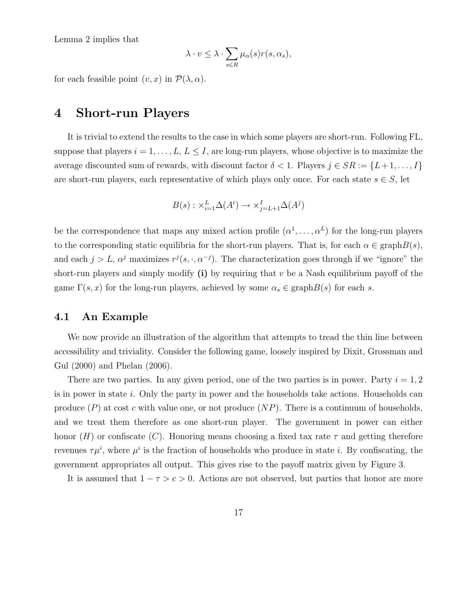Lemma 2 implies that

$$
\lambda \cdot v \leq \lambda \cdot \sum_{s \in R} \mu_{\alpha}(s) r(s, \alpha_s),
$$

for each feasible point  $(v, x)$  in  $\mathcal{P}(\lambda, \alpha)$ .

# 4 Short-run Players

It is trivial to extend the results to the case in which some players are short-run. Following FL, suppose that players  $i = 1, \ldots, L, L \leq I$ , are long-run players, whose objective is to maximize the average discounted sum of rewards, with discount factor  $\delta < 1$ . Players  $j \in SR := \{L+1, \ldots, I\}$ are short-run players, each representative of which plays only once. For each state  $s \in S$ , let

$$
B(s) : \times_{i=1}^{L} \Delta(A^i) \to \times_{j=L+1}^{I} \Delta(A^j)
$$

be the correspondence that maps any mixed action profile  $(\alpha^1, \ldots, \alpha^L)$  for the long-run players to the corresponding static equilibria for the short-run players. That is, for each  $\alpha \in \text{graph}B(s)$ , and each  $j > L$ ,  $\alpha^{j}$  maximizes  $r^{j}(s, \cdot, \alpha^{-j})$ . The characterization goes through if we "ignore" the short-run players and simply modify  $(i)$  by requiring that v be a Nash equilibrium payoff of the game  $\Gamma(s, x)$  for the long-run players, achieved by some  $\alpha_s \in \text{graph}B(s)$  for each s.

#### 4.1 An Example

We now provide an illustration of the algorithm that attempts to tread the thin line between accessibility and triviality. Consider the following game, loosely inspired by Dixit, Grossman and Gul (2000) and Phelan (2006).

There are two parties. In any given period, one of the two parties is in power. Party  $i = 1, 2$ is in power in state i. Only the party in power and the households take actions. Households can produce  $(P)$  at cost c with value one, or not produce  $(NP)$ . There is a continuum of households, and we treat them therefore as one short-run player. The government in power can either honor (H) or confiscate (C). Honoring means choosing a fixed tax rate  $\tau$  and getting therefore revenues  $\tau \mu^i$ , where  $\mu^i$  is the fraction of households who produce in state *i*. By confiscating, the government appropriates all output. This gives rise to the payoff matrix given by Figure 3.

It is assumed that  $1 - \tau > c > 0$ . Actions are not observed, but parties that honor are more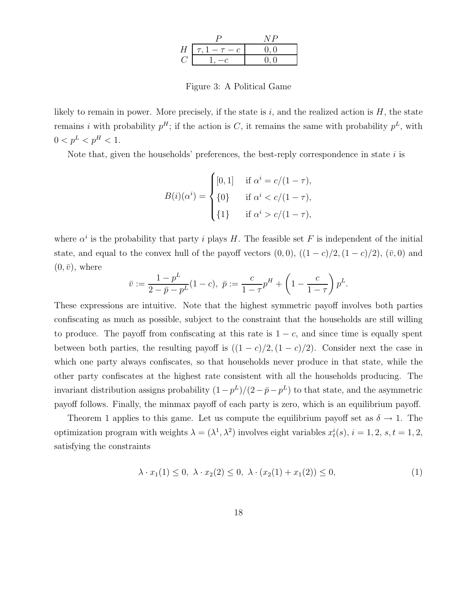|   |                     | N P    |
|---|---------------------|--------|
| Н | $\tau$ , $1-\tau-c$ | (0, 0) |
|   |                     |        |

Figure 3: A Political Game

likely to remain in power. More precisely, if the state is i, and the realized action is  $H$ , the state remains i with probability  $p^H$ ; if the action is C, it remains the same with probability  $p^L$ , with  $0 < p^L < p^H < 1.$ 

Note that, given the households' preferences, the best-reply correspondence in state  $i$  is

$$
B(i)(\alpha^{i}) = \begin{cases} [0,1] & \text{if } \alpha^{i} = c/(1-\tau), \\ \{0\} & \text{if } \alpha^{i} < c/(1-\tau), \\ \{1\} & \text{if } \alpha^{i} > c/(1-\tau), \end{cases}
$$

where  $\alpha^i$  is the probability that party *i* plays H. The feasible set F is independent of the initial state, and equal to the convex hull of the payoff vectors  $(0, 0)$ ,  $((1 - c)/2, (1 - c)/2)$ ,  $(\bar{v}, 0)$  and  $(0, \bar{v})$ , where

$$
\bar{v} := \frac{1 - p^L}{2 - \bar{p} - p^L} (1 - c), \ \bar{p} := \frac{c}{1 - \tau} p^H + \left(1 - \frac{c}{1 - \tau}\right) p^L.
$$

These expressions are intuitive. Note that the highest symmetric payoff involves both parties confiscating as much as possible, subject to the constraint that the households are still willing to produce. The payoff from confiscating at this rate is  $1 - c$ , and since time is equally spent between both parties, the resulting payoff is  $((1 - c)/2, (1 - c)/2)$ . Consider next the case in which one party always confiscates, so that households never produce in that state, while the other party confiscates at the highest rate consistent with all the households producing. The invariant distribution assigns probability  $(1-p^L)/(2-\bar{p}-p^L)$  to that state, and the asymmetric payoff follows. Finally, the minmax payoff of each party is zero, which is an equilibrium payoff.

Theorem 1 applies to this game. Let us compute the equilibrium payoff set as  $\delta \to 1$ . The optimization program with weights  $\lambda = (\lambda^1, \lambda^2)$  involves eight variables  $x_t^i(s)$ ,  $i = 1, 2, s, t = 1, 2,$ satisfying the constraints

$$
\lambda \cdot x_1(1) \le 0, \ \lambda \cdot x_2(2) \le 0, \ \lambda \cdot (x_2(1) + x_1(2)) \le 0,\tag{1}
$$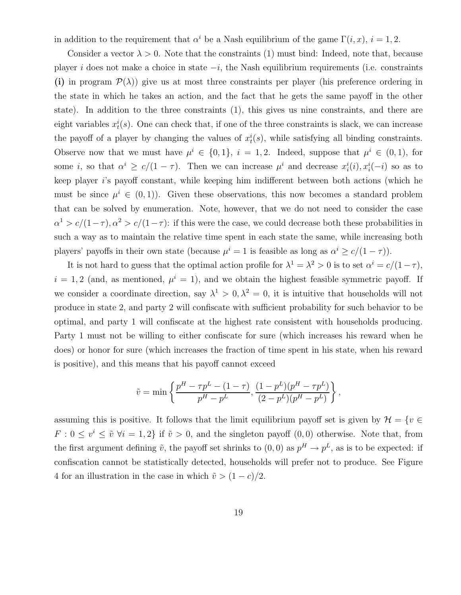in addition to the requirement that  $\alpha^i$  be a Nash equilibrium of the game  $\Gamma(i, x)$ ,  $i = 1, 2$ .

Consider a vector  $\lambda > 0$ . Note that the constraints (1) must bind: Indeed, note that, because player i does not make a choice in state  $-i$ , the Nash equilibrium requirements (i.e. constraints (i) in program  $\mathcal{P}(\lambda)$  give us at most three constraints per player (his preference ordering in the state in which he takes an action, and the fact that he gets the same payoff in the other state). In addition to the three constraints (1), this gives us nine constraints, and there are eight variables  $x_t^i(s)$ . One can check that, if one of the three constraints is slack, we can increase the payoff of a player by changing the values of  $x_t^i(s)$ , while satisfying all binding constraints. Observe now that we must have  $\mu^i \in \{0,1\}$ ,  $i = 1,2$ . Indeed, suppose that  $\mu^i \in (0,1)$ , for some *i*, so that  $\alpha^{i} \geq c/(1-\tau)$ . Then we can increase  $\mu^{i}$  and decrease  $x_{i}^{i}(i), x_{i}^{i}(-i)$  so as to keep player i's payoff constant, while keeping him indifferent between both actions (which he must be since  $\mu^{i} \in (0,1)$ . Given these observations, this now becomes a standard problem that can be solved by enumeration. Note, however, that we do not need to consider the case  $\alpha^1 > c/(1-\tau)$ ,  $\alpha^2 > c/(1-\tau)$ : if this were the case, we could decrease both these probabilities in such a way as to maintain the relative time spent in each state the same, while increasing both players' payoffs in their own state (because  $\mu^{i} = 1$  is feasible as long as  $\alpha^{i} \ge c/(1 - \tau)$ ).

It is not hard to guess that the optimal action profile for  $\lambda^1 = \lambda^2 > 0$  is to set  $\alpha^i = c/(1-\tau)$ ,  $i = 1, 2$  (and, as mentioned,  $\mu^{i} = 1$ ), and we obtain the highest feasible symmetric payoff. If we consider a coordinate direction, say  $\lambda^1 > 0, \lambda^2 = 0$ , it is intuitive that households will not produce in state 2, and party 2 will confiscate with sufficient probability for such behavior to be optimal, and party 1 will confiscate at the highest rate consistent with households producing. Party 1 must not be willing to either confiscate for sure (which increases his reward when he does) or honor for sure (which increases the fraction of time spent in his state, when his reward is positive), and this means that his payoff cannot exceed

$$
\tilde{v} = \min \left\{ \frac{p^H - \tau p^L - (1 - \tau)}{p^H - p^L}, \frac{(1 - p^L)(p^H - \tau p^L)}{(2 - p^L)(p^H - p^L)} \right\},\,
$$

assuming this is positive. It follows that the limit equilibrium payoff set is given by  $\mathcal{H} = \{v \in \mathcal{H}\}$  $F: 0 \leq v^i \leq \tilde{v} \ \forall i = 1, 2$  if  $\tilde{v} > 0$ , and the singleton payoff  $(0, 0)$  otherwise. Note that, from the first argument defining  $\tilde{v}$ , the payoff set shrinks to  $(0,0)$  as  $p^H \to p^L$ , as is to be expected: if confiscation cannot be statistically detected, households will prefer not to produce. See Figure 4 for an illustration in the case in which  $\tilde{v} > (1 - c)/2$ .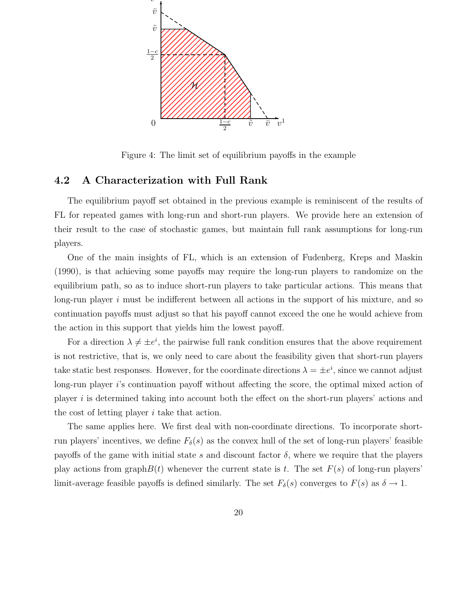

Figure 4: The limit set of equilibrium payoffs in the example

### 4.2 A Characterization with Full Rank

The equilibrium payoff set obtained in the previous example is reminiscent of the results of FL for repeated games with long-run and short-run players. We provide here an extension of their result to the case of stochastic games, but maintain full rank assumptions for long-run players.

One of the main insights of FL, which is an extension of Fudenberg, Kreps and Maskin (1990), is that achieving some payoffs may require the long-run players to randomize on the equilibrium path, so as to induce short-run players to take particular actions. This means that long-run player  $i$  must be indifferent between all actions in the support of his mixture, and so continuation payoffs must adjust so that his payoff cannot exceed the one he would achieve from the action in this support that yields him the lowest payoff.

For a direction  $\lambda \neq \pm e^i$ , the pairwise full rank condition ensures that the above requirement is not restrictive, that is, we only need to care about the feasibility given that short-run players take static best responses. However, for the coordinate directions  $\lambda = \pm e^i$ , since we cannot adjust long-run player i's continuation payoff without affecting the score, the optimal mixed action of player i is determined taking into account both the effect on the short-run players' actions and the cost of letting player i take that action.

The same applies here. We first deal with non-coordinate directions. To incorporate shortrun players' incentives, we define  $F_\delta(s)$  as the convex hull of the set of long-run players' feasible payoffs of the game with initial state s and discount factor  $\delta$ , where we require that the players play actions from graph $B(t)$  whenever the current state is t. The set  $F(s)$  of long-run players' limit-average feasible payoffs is defined similarly. The set  $F_\delta(s)$  converges to  $F(s)$  as  $\delta \to 1$ .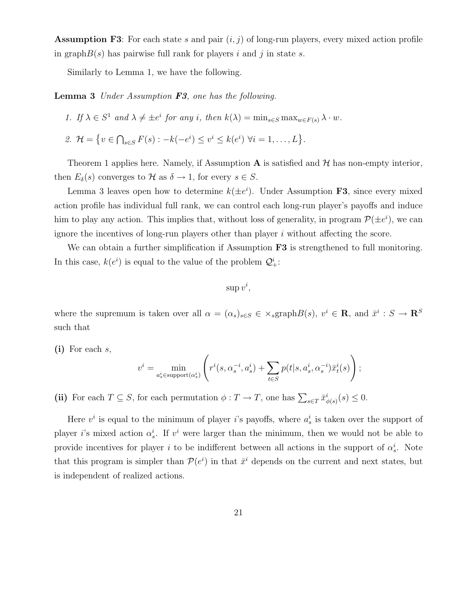**Assumption F3:** For each state s and pair  $(i, j)$  of long-run players, every mixed action profile in graph $B(s)$  has pairwise full rank for players i and j in state s.

Similarly to Lemma 1, we have the following.

Lemma 3 Under Assumption F3, one has the following.

1. If 
$$
\lambda \in S^1
$$
 and  $\lambda \neq \pm e^i$  for any *i*, then  $k(\lambda) = \min_{s \in S} \max_{w \in F(s)} \lambda \cdot w$ .

2.  $\mathcal{H} = \{ v \in \bigcap_{s \in S} F(s) : -k(-e^i) \leq v^i \leq k(e^i) \ \forall i = 1, \dots, L \}.$ 

Theorem 1 applies here. Namely, if Assumption A is satisfied and  $\mathcal{H}$  has non-empty interior, then  $E_{\delta}(s)$  converges to  $\mathcal{H}$  as  $\delta \to 1$ , for every  $s \in S$ .

Lemma 3 leaves open how to determine  $k(\pm e^i)$ . Under Assumption F3, since every mixed action profile has individual full rank, we can control each long-run player's payoffs and induce him to play any action. This implies that, without loss of generality, in program  $\mathcal{P}(\pm e^i)$ , we can ignore the incentives of long-run players other than player  $i$  without affecting the score.

We can obtain a further simplification if Assumption **F3** is strengthened to full monitoring. In this case,  $k(e^i)$  is equal to the value of the problem  $\mathcal{Q}^i_+$ :

 $\sup v^i,$ 

where the supremum is taken over all  $\alpha = (\alpha_s)_{s \in S} \in \times_s \text{graph}B(s)$ ,  $v^i \in \mathbb{R}$ , and  $\bar{x}^i : S \to \mathbb{R}^S$ such that

 $(i)$  For each s,

$$
v^{i} = \min_{a_s^{i} \in \text{support}(\alpha_s^{i})} \left( r^{i}(s, \alpha_s^{-i}, a_s^{i}) + \sum_{t \in S} p(t|s, a_s^{i}, \alpha_s^{-i}) \bar{x}_t^{i}(s) \right);
$$

(ii) For each  $T \subseteq S$ , for each permutation  $\phi : T \to T$ , one has  $\sum_{s \in T} \bar{x}^i_{\phi(s)}(s) \leq 0$ .

Here  $v^i$  is equal to the minimum of player *i*'s payoffs, where  $a_s^i$  is taken over the support of player *i*'s mixed action  $\alpha_s^i$ . If  $v^i$  were larger than the minimum, then we would not be able to provide incentives for player i to be indifferent between all actions in the support of  $\alpha_s^i$ . Note that this program is simpler than  $\mathcal{P}(e^i)$  in that  $\bar{x}^i$  depends on the current and next states, but is independent of realized actions.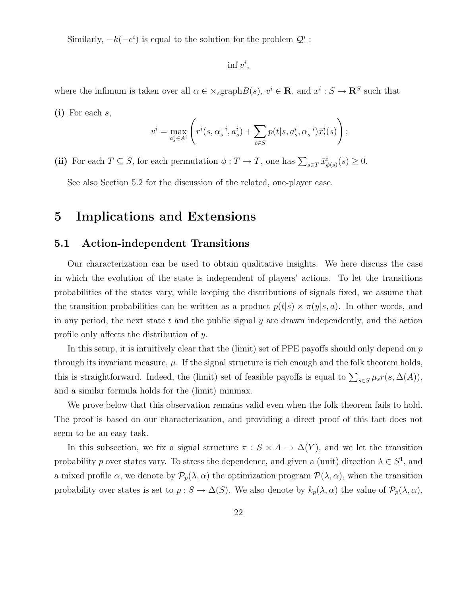Similarly,  $-k(-e^i)$  is equal to the solution for the problem  $\mathcal{Q}^i$ :

 $\inf v^i$ ,

where the infimum is taken over all  $\alpha \in \times_s \text{graph}B(s)$ ,  $v^i \in \mathbb{R}$ , and  $x^i : S \to \mathbb{R}S$  such that  $(i)$  For each s,

$$
v^i = \max_{a_s^i \in A^i} \left( r^i(s, \alpha_s^{-i}, a_s^i) + \sum_{t \in S} p(t|s, a_s^i, \alpha_s^{-i}) \bar{x}_t^i(s) \right);
$$

(ii) For each  $T \subseteq S$ , for each permutation  $\phi : T \to T$ , one has  $\sum_{s \in T} \bar{x}^i_{\phi(s)}(s) \geq 0$ .

See also Section 5.2 for the discussion of the related, one-player case.

# 5 Implications and Extensions

### 5.1 Action-independent Transitions

Our characterization can be used to obtain qualitative insights. We here discuss the case in which the evolution of the state is independent of players' actions. To let the transitions probabilities of the states vary, while keeping the distributions of signals fixed, we assume that the transition probabilities can be written as a product  $p(t|s) \times \pi(y|s, a)$ . In other words, and in any period, the next state  $t$  and the public signal  $y$  are drawn independently, and the action profile only affects the distribution of y.

In this setup, it is intuitively clear that the (limit) set of PPE payoffs should only depend on  $p$ through its invariant measure,  $\mu$ . If the signal structure is rich enough and the folk theorem holds, this is straightforward. Indeed, the (limit) set of feasible payoffs is equal to  $\sum_{s\in S}\mu_s r(s,\Delta(A)),$ and a similar formula holds for the (limit) minmax.

We prove below that this observation remains valid even when the folk theorem fails to hold. The proof is based on our characterization, and providing a direct proof of this fact does not seem to be an easy task.

In this subsection, we fix a signal structure  $\pi : S \times A \to \Delta(Y)$ , and we let the transition probability p over states vary. To stress the dependence, and given a (unit) direction  $\lambda \in S^1$ , and a mixed profile  $\alpha$ , we denote by  $\mathcal{P}_p(\lambda, \alpha)$  the optimization program  $\mathcal{P}(\lambda, \alpha)$ , when the transition probability over states is set to  $p : S \to \Delta(S)$ . We also denote by  $k_p(\lambda, \alpha)$  the value of  $\mathcal{P}_p(\lambda, \alpha)$ ,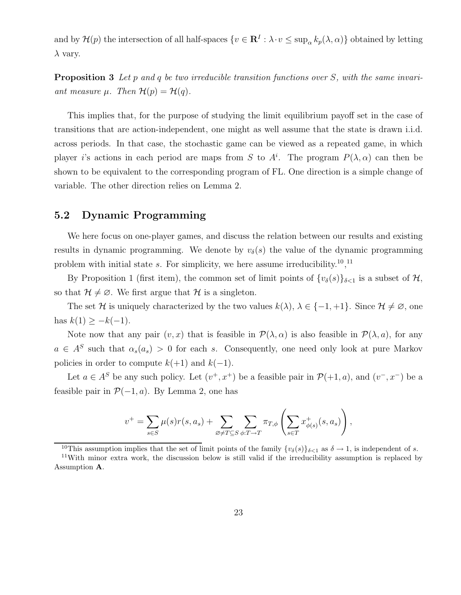and by  $\mathcal{H}(p)$  the intersection of all half-spaces  $\{v \in \mathbb{R}^I : \lambda \cdot v \leq \sup_{\alpha} k_p(\lambda, \alpha)\}\)$  obtained by letting  $\lambda$  vary.

**Proposition 3** Let p and q be two irreducible transition functions over S, with the same invariant measure  $\mu$ . Then  $\mathcal{H}(p) = \mathcal{H}(q)$ .

This implies that, for the purpose of studying the limit equilibrium payoff set in the case of transitions that are action-independent, one might as well assume that the state is drawn i.i.d. across periods. In that case, the stochastic game can be viewed as a repeated game, in which player is actions in each period are maps from S to  $A^i$ . The program  $P(\lambda, \alpha)$  can then be shown to be equivalent to the corresponding program of FL. One direction is a simple change of variable. The other direction relies on Lemma 2.

### 5.2 Dynamic Programming

We here focus on one-player games, and discuss the relation between our results and existing results in dynamic programming. We denote by  $v_{\delta}(s)$  the value of the dynamic programming problem with initial state s. For simplicity, we here assume irreducibility.<sup>10</sup>,<sup>11</sup>

By Proposition 1 (first item), the common set of limit points of  $\{v_\delta(s)\}_{\delta<1}$  is a subset of  $\mathcal{H}$ , so that  $\mathcal{H} \neq \emptyset$ . We first argue that  $\mathcal{H}$  is a singleton.

The set H is uniquely characterized by the two values  $k(\lambda)$ ,  $\lambda \in \{-1, +1\}$ . Since  $\mathcal{H} \neq \emptyset$ , one has  $k(1) \geq -k(-1)$ .

Note now that any pair  $(v, x)$  that is feasible in  $\mathcal{P}(\lambda, \alpha)$  is also feasible in  $\mathcal{P}(\lambda, a)$ , for any  $a \in A^S$  such that  $\alpha_s(a_s) > 0$  for each s. Consequently, one need only look at pure Markov policies in order to compute  $k(+1)$  and  $k(-1)$ .

Let  $a \in A^S$  be any such policy. Let  $(v^+, x^+)$  be a feasible pair in  $\mathcal{P}(+1, a)$ , and  $(v^-, x^-)$  be a feasible pair in  $\mathcal{P}(-1, a)$ . By Lemma 2, one has

$$
v^+ = \sum_{s \in S} \mu(s) r(s, a_s) + \sum_{\varnothing \neq T \subseteq S} \sum_{\phi: T \to T} \pi_{T, \phi} \left( \sum_{s \in T} x^+_{\phi(s)}(s, a_s) \right),
$$

<sup>&</sup>lt;sup>10</sup>This assumption implies that the set of limit points of the family  $\{v_\delta(s)\}_{\delta<1}$  as  $\delta \to 1$ , is independent of s.

<sup>11</sup>With minor extra work, the discussion below is still valid if the irreducibility assumption is replaced by Assumption A.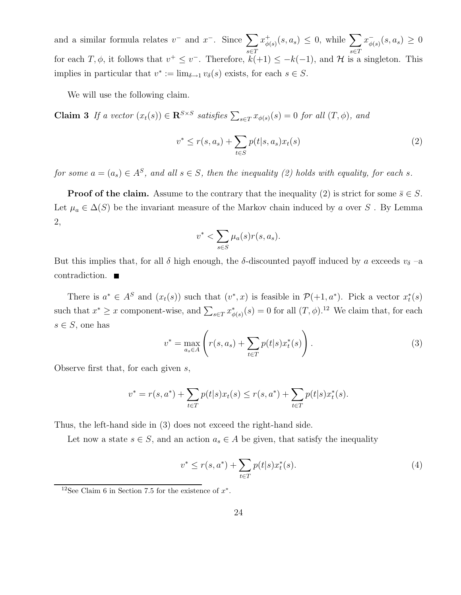and a similar formula relates  $v^-$  and  $x^-$ . Since  $\sum$ s∈T  $x_{\phi}^+$  $_{\phi(s)}^+(s, a_s) \leq 0$ , while  $\sum$ s∈T  $x_{\phi}^ _{\phi(s)}^-(s, a_s) \geq 0$ for each  $T, \phi$ , it follows that  $v^+ \leq v^-$ . Therefore,  $k(+1) \leq -k(-1)$ , and H is a singleton. This implies in particular that  $v^* := \lim_{\delta \to 1} v_\delta(s)$  exists, for each  $s \in S$ .

We will use the following claim.

**Claim 3** If a vector  $(x_t(s)) \in \mathbb{R}^{S \times S}$  satisfies  $\sum_{s \in T} x_{\phi(s)}(s) = 0$  for all  $(T, \phi)$ , and

$$
v^* \le r(s, a_s) + \sum_{t \in S} p(t|s, a_s) x_t(s)
$$
 (2)

for some  $a = (a_s) \in A^S$ , and all  $s \in S$ , then the inequality (2) holds with equality, for each s.

**Proof of the claim.** Assume to the contrary that the inequality (2) is strict for some  $\bar{s} \in S$ . Let  $\mu_a \in \Delta(S)$  be the invariant measure of the Markov chain induced by a over S. By Lemma 2,

$$
v^* < \sum_{s \in S} \mu_a(s) r(s, a_s).
$$

But this implies that, for all  $\delta$  high enough, the  $\delta$ -discounted payoff induced by a exceeds  $v_{\delta}$  –a contradiction.

There is  $a^* \in A^S$  and  $(x_t(s))$  such that  $(v^*, x)$  is feasible in  $\mathcal{P}(+1, a^*)$ . Pick a vector  $x_t^*(s)$ such that  $x^* \geq x$  component-wise, and  $\sum_{s \in T} x^*_{\phi(s)}(s) = 0$  for all  $(T, \phi)$ .<sup>12</sup> We claim that, for each  $s \in S$ , one has

$$
v^* = \max_{a_s \in A} \left( r(s, a_s) + \sum_{t \in T} p(t|s) x_t^*(s) \right).
$$
 (3)

Observe first that, for each given s,

$$
v^* = r(s, a^*) + \sum_{t \in T} p(t|s)x_t(s) \le r(s, a^*) + \sum_{t \in T} p(t|s)x_t^*(s).
$$

Thus, the left-hand side in (3) does not exceed the right-hand side.

Let now a state  $s \in S$ , and an action  $a_s \in A$  be given, that satisfy the inequality

$$
v^* \le r(s, a^*) + \sum_{t \in T} p(t|s) x_t^*(s).
$$
 (4)

<sup>&</sup>lt;sup>12</sup>See Claim 6 in Section 7.5 for the existence of  $x^*$ .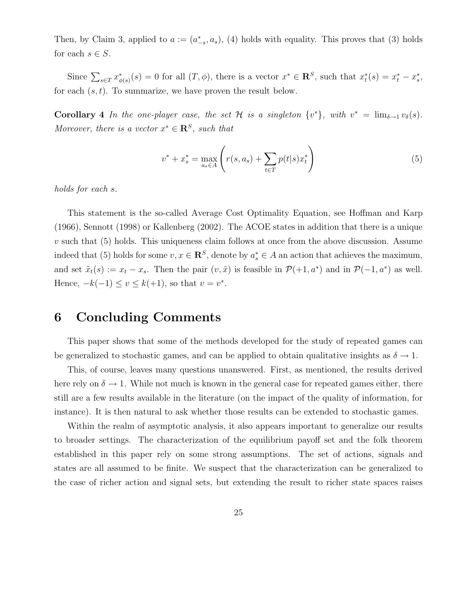Then, by Claim 3, applied to  $a := (a_{-s}^*, a_s)$ , (4) holds with equality. This proves that (3) holds for each  $s \in S$ .

Since  $\sum_{s\in\mathcal{I}} x^*_{\phi(s)}(s) = 0$  for all  $(T, \phi)$ , there is a vector  $x^* \in \mathbb{R}^S$ , such that  $x^*_t(s) = x^*_t - x^*_s$ , for each  $(s, t)$ . To summarize, we have proven the result below.

**Corollary 4** In the one-player case, the set H is a singleton  $\{v^*\}$ , with  $v^* = \lim_{\delta \to 1} v_\delta(s)$ . Moreover, there is a vector  $x^* \in \mathbb{R}^S$ , such that

$$
v^* + x_s^* = \max_{a_s \in A} \left( r(s, a_s) + \sum_{t \in T} p(t|s) x_t^* \right)
$$
 (5)

holds for each s.

This statement is the so-called Average Cost Optimality Equation, see Hoffman and Karp (1966), Sennott (1998) or Kallenberg (2002). The ACOE states in addition that there is a unique  $v$  such that (5) holds. This uniqueness claim follows at once from the above discussion. Assume indeed that (5) holds for some  $v, x \in \mathbb{R}^S$ , denote by  $a_s^* \in A$  an action that achieves the maximum, and set  $\tilde{x}_t(s) := x_t - x_s$ . Then the pair  $(v, \tilde{x})$  is feasible in  $\mathcal{P}(+1, a^*)$  and in  $\mathcal{P}(-1, a^*)$  as well. Hence,  $-k(-1) \le v \le k(+1)$ , so that  $v = v^*$ .

# 6 Concluding Comments

This paper shows that some of the methods developed for the study of repeated games can be generalized to stochastic games, and can be applied to obtain qualitative insights as  $\delta \to 1$ .

This, of course, leaves many questions unanswered. First, as mentioned, the results derived here rely on  $\delta \to 1$ . While not much is known in the general case for repeated games either, there still are a few results available in the literature (on the impact of the quality of information, for instance). It is then natural to ask whether those results can be extended to stochastic games.

Within the realm of asymptotic analysis, it also appears important to generalize our results to broader settings. The characterization of the equilibrium payoff set and the folk theorem established in this paper rely on some strong assumptions. The set of actions, signals and states are all assumed to be finite. We suspect that the characterization can be generalized to the case of richer action and signal sets, but extending the result to richer state spaces raises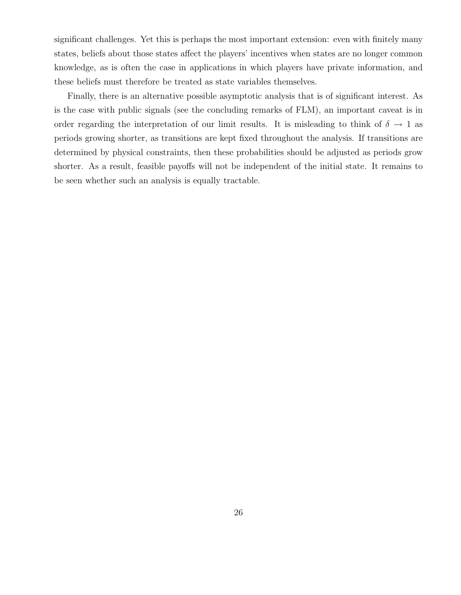significant challenges. Yet this is perhaps the most important extension: even with finitely many states, beliefs about those states affect the players' incentives when states are no longer common knowledge, as is often the case in applications in which players have private information, and these beliefs must therefore be treated as state variables themselves.

Finally, there is an alternative possible asymptotic analysis that is of significant interest. As is the case with public signals (see the concluding remarks of FLM), an important caveat is in order regarding the interpretation of our limit results. It is misleading to think of  $\delta \to 1$  as periods growing shorter, as transitions are kept fixed throughout the analysis. If transitions are determined by physical constraints, then these probabilities should be adjusted as periods grow shorter. As a result, feasible payoffs will not be independent of the initial state. It remains to be seen whether such an analysis is equally tractable.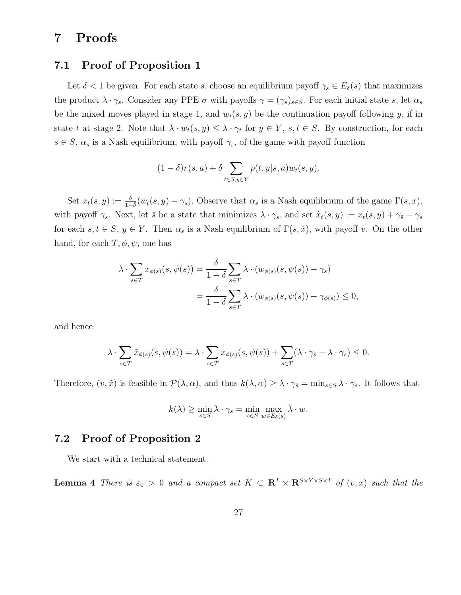# 7 Proofs

### 7.1 Proof of Proposition 1

Let  $\delta$  < 1 be given. For each state s, choose an equilibrium payoff  $\gamma_s \in E_{\delta}(s)$  that maximizes the product  $\lambda \cdot \gamma_s$ . Consider any PPE  $\sigma$  with payoffs  $\gamma = (\gamma_s)_{s \in S}$ . For each initial state s, let  $\alpha_s$ be the mixed moves played in stage 1, and  $w_t(s, y)$  be the continuation payoff following y, if in state t at stage 2. Note that  $\lambda \cdot w_t(s, y) \leq \lambda \cdot \gamma_t$  for  $y \in Y$ ,  $s, t \in S$ . By construction, for each  $s \in S$ ,  $\alpha_s$  is a Nash equilibrium, with payoff  $\gamma_s$ , of the game with payoff function

$$
(1 - \delta)r(s, a) + \delta \sum_{t \in S, y \in Y} p(t, y|s, a)w_t(s, y).
$$

Set  $x_t(s, y) := \frac{\delta}{1-\delta}(w_t(s, y) - \gamma_s)$ . Observe that  $\alpha_s$  is a Nash equilibrium of the game  $\Gamma(s, x)$ , with payoff  $\gamma_s$ . Next, let  $\bar{s}$  be a state that minimizes  $\lambda \cdot \gamma_s$ , and set  $\tilde{x}_t(s, y) := x_t(s, y) + \gamma_{\bar{s}} - \gamma_s$ for each  $s, t \in S, y \in Y$ . Then  $\alpha_s$  is a Nash equilibrium of  $\Gamma(s, \tilde{x})$ , with payoff v. On the other hand, for each  $T, \phi, \psi$ , one has

$$
\lambda \cdot \sum_{s \in T} x_{\phi(s)}(s, \psi(s)) = \frac{\delta}{1 - \delta} \sum_{s \in T} \lambda \cdot (w_{\phi(s)}(s, \psi(s)) - \gamma_s)
$$
  
= 
$$
\frac{\delta}{1 - \delta} \sum_{s \in T} \lambda \cdot (w_{\phi(s)}(s, \psi(s)) - \gamma_{\phi(s)}) \le 0,
$$

and hence

$$
\lambda \cdot \sum_{s \in T} \tilde{x}_{\phi(s)}(s, \psi(s)) = \lambda \cdot \sum_{s \in T} x_{\phi(s)}(s, \psi(s)) + \sum_{s \in T} (\lambda \cdot \gamma_{\bar{s}} - \lambda \cdot \gamma_s) \le 0.
$$

Therefore,  $(v, \tilde{x})$  is feasible in  $\mathcal{P}(\lambda, \alpha)$ , and thus  $k(\lambda, \alpha) \geq \lambda \cdot \gamma_{\overline{s}} = \min_{s \in S} \lambda \cdot \gamma_s$ . It follows that

$$
k(\lambda) \ge \min_{s \in S} \lambda \cdot \gamma_s = \min_{s \in S} \max_{w \in E_{\delta}(s)} \lambda \cdot w.
$$

## 7.2 Proof of Proposition 2

We start with a technical statement.

**Lemma 4** There is  $\varepsilon_0 > 0$  and a compact set  $K \subset \mathbb{R}^I \times \mathbb{R}^{S \times Y \times S \times I}$  of  $(v, x)$  such that the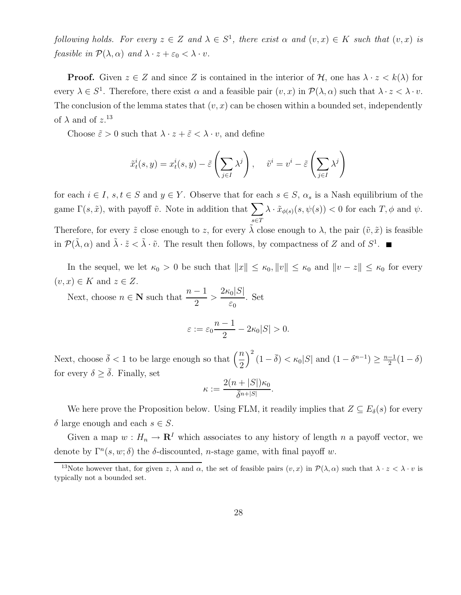following holds. For every  $z \in Z$  and  $\lambda \in S^1$ , there exist  $\alpha$  and  $(v, x) \in K$  such that  $(v, x)$  is feasible in  $\mathcal{P}(\lambda, \alpha)$  and  $\lambda \cdot z + \varepsilon_0 < \lambda \cdot v$ .

**Proof.** Given  $z \in Z$  and since Z is contained in the interior of H, one has  $\lambda \cdot z < k(\lambda)$  for every  $\lambda \in S^1$ . Therefore, there exist  $\alpha$  and a feasible pair  $(v, x)$  in  $\mathcal{P}(\lambda, \alpha)$  such that  $\lambda \cdot z < \lambda \cdot v$ . The conclusion of the lemma states that  $(v, x)$  can be chosen within a bounded set, independently of  $\lambda$  and of  $z$ <sup>13</sup>

Choose  $\tilde{\varepsilon} > 0$  such that  $\lambda \cdot z + \tilde{\varepsilon} < \lambda \cdot v$ , and define

$$
\tilde{x}_t^i(s, y) = x_t^i(s, y) - \tilde{\varepsilon}\left(\sum_{j \in I} \lambda^j\right), \quad \tilde{v}^i = v^i - \tilde{\varepsilon}\left(\sum_{j \in I} \lambda^j\right)
$$

for each  $i \in I$ ,  $s, t \in S$  and  $y \in Y$ . Observe that for each  $s \in S$ ,  $\alpha_s$  is a Nash equilibrium of the game  $\Gamma(s, \tilde{x})$ , with payoff  $\tilde{v}$ . Note in addition that  $\sum$ s∈T  $\lambda \cdot \tilde{x}_{\phi(s)}(s, \psi(s)) < 0$  for each  $T, \phi$  and  $\psi$ . Therefore, for every  $\tilde{z}$  close enough to z, for every  $\tilde{\lambda}$  close enough to  $\lambda$ , the pair  $(\tilde{v}, \tilde{x})$  is feasible in  $\mathcal{P}(\tilde{\lambda}, \alpha)$  and  $\tilde{\lambda} \cdot \tilde{z} < \tilde{\lambda} \cdot \tilde{v}$ . The result then follows, by compactness of Z and of  $S^1$ .

In the sequel, we let  $\kappa_0 > 0$  be such that  $||x|| \leq \kappa_0, ||v|| \leq \kappa_0$  and  $||v - z|| \leq \kappa_0$  for every  $(v, x) \in K$  and  $z \in Z$ .

Next, choose  $n \in \mathbb{N}$  such that  $\frac{n-1}{2}$ 2  $> \frac{2\kappa_0|S|}{\kappa}$  $\varepsilon_0$ . Set

$$
\varepsilon := \varepsilon_0 \frac{n-1}{2} - 2\kappa_0 |S| > 0.
$$

Next, choose  $\bar{\delta} < 1$  to be large enough so that  $\left(\frac{n}{2}\right)$ 2  $\int_{0}^{2} (1 - \overline{\delta}) < \kappa_0 |S|$  and  $(1 - \delta^{n-1}) \geq \frac{n-1}{2}$  $\frac{-1}{2}(1-\delta)$ for every  $\delta \geq \overline{\delta}$ . Finally, set

$$
\kappa := \frac{2(n+|S|)\kappa_0}{\bar{\delta}^{n+|S|}}.
$$

We here prove the Proposition below. Using FLM, it readily implies that  $Z \subseteq E_{\delta}(s)$  for every δ large enough and each  $s \in S$ .

Given a map  $w : H_n \to \mathbf{R}^I$  which associates to any history of length n a payoff vector, we denote by  $\Gamma^{n}(s, w; \delta)$  the  $\delta$ -discounted, *n*-stage game, with final payoff w.

<sup>&</sup>lt;sup>13</sup>Note however that, for given z,  $\lambda$  and  $\alpha$ , the set of feasible pairs  $(v, x)$  in  $\mathcal{P}(\lambda, \alpha)$  such that  $\lambda \cdot z < \lambda \cdot v$  is typically not a bounded set.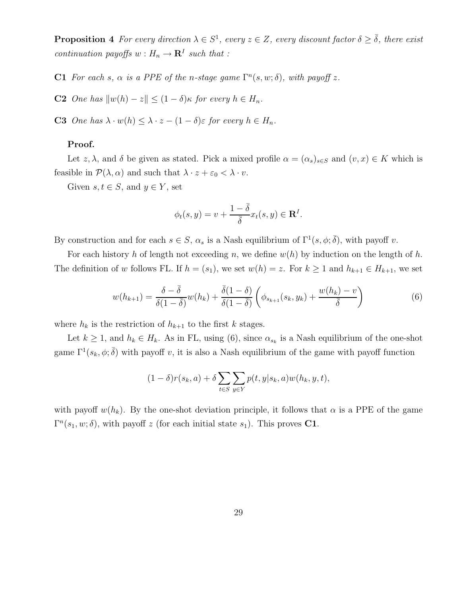**Proposition 4** For every direction  $\lambda \in S^1$ , every  $z \in Z$ , every discount factor  $\delta \geq \overline{\delta}$ , there exist continuation payoffs  $w: H_n \to \mathbf{R}^I$  such that :

**C1** For each s,  $\alpha$  is a PPE of the n-stage game  $\Gamma^{n}(s, w; \delta)$ , with payoff z.

C2 One has  $\|w(h) - z\| \leq (1 - \delta)\kappa$  for every  $h \in H_n$ .

C3 One has  $\lambda \cdot w(h) \leq \lambda \cdot z - (1 - \delta) \varepsilon$  for every  $h \in H_n$ .

#### Proof.

Let z,  $\lambda$ , and  $\delta$  be given as stated. Pick a mixed profile  $\alpha = (\alpha_s)_{s \in S}$  and  $(v, x) \in K$  which is feasible in  $\mathcal{P}(\lambda, \alpha)$  and such that  $\lambda \cdot z + \varepsilon_0 < \lambda \cdot v$ .

Given  $s, t \in S$ , and  $y \in Y$ , set

$$
\phi_t(s, y) = v + \frac{1 - \overline{\delta}}{\overline{\delta}} x_t(s, y) \in \mathbf{R}^I.
$$

By construction and for each  $s \in S$ ,  $\alpha_s$  is a Nash equilibrium of  $\Gamma^1(s, \phi; \overline{\delta})$ , with payoff v.

For each history h of length not exceeding n, we define  $w(h)$  by induction on the length of h. The definition of w follows FL. If  $h = (s_1)$ , we set  $w(h) = z$ . For  $k \ge 1$  and  $h_{k+1} \in H_{k+1}$ , we set

$$
w(h_{k+1}) = \frac{\delta - \bar{\delta}}{\delta(1 - \bar{\delta})} w(h_k) + \frac{\bar{\delta}(1 - \delta)}{\delta(1 - \bar{\delta})} \left(\phi_{s_{k+1}}(s_k, y_k) + \frac{w(h_k) - v}{\bar{\delta}}\right)
$$
(6)

where  $h_k$  is the restriction of  $h_{k+1}$  to the first k stages.

Let  $k \geq 1$ , and  $h_k \in H_k$ . As in FL, using (6), since  $\alpha_{s_k}$  is a Nash equilibrium of the one-shot game  $\Gamma^1(s_k, \phi; \overline{\delta})$  with payoff v, it is also a Nash equilibrium of the game with payoff function

$$
(1 - \delta)r(s_k, a) + \delta \sum_{t \in S} \sum_{y \in Y} p(t, y|s_k, a) w(h_k, y, t),
$$

with payoff  $w(h_k)$ . By the one-shot deviation principle, it follows that  $\alpha$  is a PPE of the game  $\Gamma^{n}(s_1, w; \delta)$ , with payoff z (for each initial state  $s_1$ ). This proves **C1**.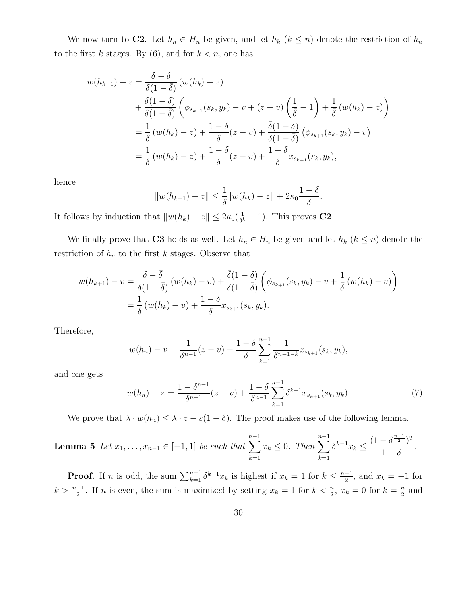We now turn to **C2**. Let  $h_n \in H_n$  be given, and let  $h_k$   $(k \leq n)$  denote the restriction of  $h_n$ to the first k stages. By  $(6)$ , and for  $k < n$ , one has

$$
w(h_{k+1}) - z = \frac{\delta - \overline{\delta}}{\delta(1 - \overline{\delta})} (w(h_k) - z)
$$
  
+ 
$$
\frac{\overline{\delta}(1 - \delta)}{\delta(1 - \overline{\delta})} \left( \phi_{s_{k+1}}(s_k, y_k) - v + (z - v) \left( \frac{1}{\overline{\delta}} - 1 \right) + \frac{1}{\overline{\delta}} (w(h_k) - z) \right)
$$
  
= 
$$
\frac{1}{\delta} (w(h_k) - z) + \frac{1 - \delta}{\delta} (z - v) + \frac{\overline{\delta}(1 - \delta)}{\delta(1 - \overline{\delta})} (\phi_{s_{k+1}}(s_k, y_k) - v)
$$
  
= 
$$
\frac{1}{\delta} (w(h_k) - z) + \frac{1 - \delta}{\delta} (z - v) + \frac{1 - \delta}{\delta} x_{s_{k+1}}(s_k, y_k),
$$

hence

$$
||w(h_{k+1}) - z|| \leq \frac{1}{\delta} ||w(h_k) - z|| + 2\kappa_0 \frac{1 - \delta}{\delta}.
$$

It follows by induction that  $||w(h_k) - z|| \leq 2\kappa_0(\frac{1}{\delta^k})$  $\frac{1}{\delta^k} - 1$ ). This proves **C2**.

We finally prove that C3 holds as well. Let  $h_n \in H_n$  be given and let  $h_k$   $(k \leq n)$  denote the restriction of  $h_n$  to the first k stages. Observe that

$$
w(h_{k+1}) - v = \frac{\delta - \bar{\delta}}{\delta(1 - \bar{\delta})} \left( w(h_k) - v \right) + \frac{\bar{\delta}(1 - \delta)}{\delta(1 - \bar{\delta})} \left( \phi_{s_{k+1}}(s_k, y_k) - v + \frac{1}{\bar{\delta}} \left( w(h_k) - v \right) \right)
$$
  
=  $\frac{1}{\delta} \left( w(h_k) - v \right) + \frac{1 - \delta}{\delta} x_{s_{k+1}}(s_k, y_k).$ 

Therefore,

$$
w(h_n) - v = \frac{1}{\delta^{n-1}}(z - v) + \frac{1 - \delta}{\delta} \sum_{k=1}^{n-1} \frac{1}{\delta^{n-1-k}} x_{s_{k+1}}(s_k, y_k),
$$

and one gets

$$
w(h_n) - z = \frac{1 - \delta^{n-1}}{\delta^{n-1}}(z - v) + \frac{1 - \delta}{\delta^{n-1}} \sum_{k=1}^{n-1} \delta^{k-1} x_{s_{k+1}}(s_k, y_k).
$$
 (7)

We prove that  $\lambda \cdot w(h_n) \leq \lambda \cdot z - \varepsilon(1-\delta)$ . The proof makes use of the following lemma.

**Lemma 5** Let 
$$
x_1, ..., x_{n-1} \in [-1, 1]
$$
 be such that  $\sum_{k=1}^{n-1} x_k \le 0$ . Then  $\sum_{k=1}^{n-1} \delta^{k-1} x_k \le \frac{(1 - \delta^{\frac{n-1}{2}})^2}{1 - \delta}$ .

**Proof.** If *n* is odd, the sum  $\sum_{k=1}^{n-1} \delta^{k-1}x_k$  is highest if  $x_k = 1$  for  $k \leq \frac{n-1}{2}$  $\frac{-1}{2}$ , and  $x_k = -1$  for  $k > \frac{n-1}{2}$ . If n is even, the sum is maximized by setting  $x_k = 1$  for  $k < \frac{n}{2}$ ,  $x_k = 0$  for  $k = \frac{n}{2}$  $\frac{n}{2}$  and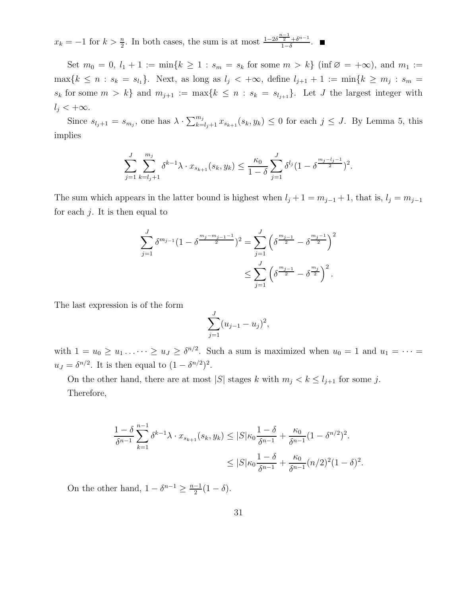$x_k = -1$  for  $k > \frac{n}{2}$ . In both cases, the sum is at most  $\frac{1-2\delta^{\frac{n-1}{2}} + \delta^{n-1}}{1-\delta}$  $\frac{2+ \delta^{n-1}}{1-\delta}$ .

Set  $m_0 = 0, l_1 + 1 := \min\{k \ge 1 : s_m = s_k \text{ for some } m > k\}$  (inf  $\varnothing = +\infty$ ), and  $m_1 :=$  $\max\{k \leq n : s_k = s_{l_1}\}.$  Next, as long as  $l_j < +\infty$ , define  $l_{j+1} + 1 := \min\{k \geq m_j : s_m =$  $s_k$  for some  $m > k$  and  $m_{j+1} := \max\{k \leq n : s_k = s_{l_{j+1}}\}$ . Let J the largest integer with  $l_i < +\infty$ .

Since  $s_{l_j+1} = s_{m_j}$ , one has  $\lambda \cdot \sum_{k=l_j+1}^{m_j} x_{s_{k+1}}(s_k, y_k) \leq 0$  for each  $j \leq J$ . By Lemma 5, this implies

$$
\sum_{j=1}^J \sum_{k=l_j+1}^{m_j} \delta^{k-1} \lambda \cdot x_{s_{k+1}}(s_k, y_k) \le \frac{\kappa_0}{1-\delta} \sum_{j=1}^J \delta^{l_j} (1-\delta^{\frac{m_j-l_j-1}{2}})^2.
$$

The sum which appears in the latter bound is highest when  $l_j + 1 = m_{j-1} + 1$ , that is,  $l_j = m_{j-1}$ for each  $j$ . It is then equal to

$$
\sum_{j=1}^{J} \delta^{m_{j-1}} (1 - \delta^{\frac{m_j - m_{j-1} - 1}{2}})^2 = \sum_{j=1}^{J} \left( \delta^{\frac{m_{j-1}}{2}} - \delta^{\frac{m_j - 1}{2}} \right)^2
$$
  

$$
\leq \sum_{j=1}^{J} \left( \delta^{\frac{m_{j-1}}{2}} - \delta^{\frac{m_j}{2}} \right)^2.
$$

The last expression is of the form

$$
\sum_{j=1}^{J} (u_{j-1} - u_j)^2,
$$

with  $1 = u_0 \ge u_1 \ldots \cdots \ge u_J \ge \delta^{n/2}$ . Such a sum is maximized when  $u_0 = 1$  and  $u_1 = \cdots =$  $u_J = \delta^{n/2}$ . It is then equal to  $(1 - \delta^{n/2})^2$ .

On the other hand, there are at most |S| stages k with  $m_j < k \le l_{j+1}$  for some j. Therefore,

$$
\frac{1-\delta}{\delta^{n-1}} \sum_{k=1}^{n-1} \delta^{k-1} \lambda \cdot x_{s_{k+1}}(s_k, y_k) \le |S| \kappa_0 \frac{1-\delta}{\delta^{n-1}} + \frac{\kappa_0}{\delta^{n-1}} (1-\delta^{n/2})^2.
$$
  

$$
\le |S| \kappa_0 \frac{1-\delta}{\delta^{n-1}} + \frac{\kappa_0}{\delta^{n-1}} (n/2)^2 (1-\delta)^2.
$$

On the other hand,  $1 - \delta^{n-1} \geq \frac{n-1}{2}$  $rac{-1}{2}(1-\delta).$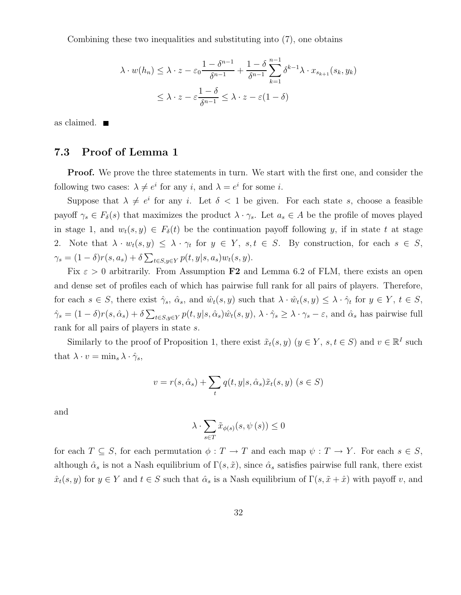Combining these two inequalities and substituting into (7), one obtains

$$
\lambda \cdot w(h_n) \leq \lambda \cdot z - \varepsilon_0 \frac{1 - \delta^{n-1}}{\delta^{n-1}} + \frac{1 - \delta}{\delta^{n-1}} \sum_{k=1}^{n-1} \delta^{k-1} \lambda \cdot x_{s_{k+1}}(s_k, y_k)
$$
  

$$
\leq \lambda \cdot z - \varepsilon \frac{1 - \delta}{\delta^{n-1}} \leq \lambda \cdot z - \varepsilon (1 - \delta)
$$

as claimed.

### 7.3 Proof of Lemma 1

**Proof.** We prove the three statements in turn. We start with the first one, and consider the following two cases:  $\lambda \neq e^i$  for any i, and  $\lambda = e^i$  for some i.

Suppose that  $\lambda \neq e^i$  for any i. Let  $\delta < 1$  be given. For each state s, choose a feasible payoff  $\gamma_s \in F_\delta(s)$  that maximizes the product  $\lambda \cdot \gamma_s$ . Let  $a_s \in A$  be the profile of moves played in stage 1, and  $w_t(s, y) \in F_\delta(t)$  be the continuation payoff following y, if in state t at stage 2. Note that  $\lambda \cdot w_t(s, y) \leq \lambda \cdot \gamma_t$  for  $y \in Y$ ,  $s, t \in S$ . By construction, for each  $s \in S$ ,  $\gamma_s = (1 - \delta)r(s, a_s) + \delta \sum_{t \in S, y \in Y} p(t, y|s, a_s) w_t(s, y).$ 

Fix  $\varepsilon > 0$  arbitrarily. From Assumption F2 and Lemma 6.2 of FLM, there exists an open and dense set of profiles each of which has pairwise full rank for all pairs of players. Therefore, for each  $s \in S$ , there exist  $\hat{\gamma}_s$ ,  $\hat{\alpha}_s$ , and  $\hat{w}_t(s, y)$  such that  $\lambda \cdot \hat{w}_t(s, y) \leq \lambda \cdot \hat{\gamma}_t$  for  $y \in Y$ ,  $t \in S$ ,  $\hat{\gamma}_s = (1 - \delta)r(s, \hat{\alpha}_s) + \delta \sum_{t \in S, y \in Y} p(t, y | s, \hat{\alpha}_s) \hat{w}_t(s, y), \ \lambda \cdot \hat{\gamma}_s \geq \lambda \cdot \gamma_s - \varepsilon$ , and  $\hat{\alpha}_s$  has pairwise full rank for all pairs of players in state s.

Similarly to the proof of Proposition 1, there exist  $\tilde{x}_t(s, y)$   $(y \in Y, s, t \in S)$  and  $v \in \mathbb{R}^I$  such that  $\lambda \cdot v = \min_s \lambda \cdot \hat{\gamma}_s$ ,

$$
v = r(s, \hat{\alpha}_s) + \sum_t q(t, y | s, \hat{\alpha}_s) \tilde{x}_t(s, y) \ (s \in S)
$$

and

$$
\lambda \cdot \sum_{s \in T} \tilde{x}_{\phi(s)}(s, \psi(s)) \le 0
$$

for each  $T \subseteq S$ , for each permutation  $\phi : T \to T$  and each map  $\psi : T \to Y$ . For each  $s \in S$ , although  $\hat{\alpha}_s$  is not a Nash equilibrium of  $\Gamma(s, \tilde{x})$ , since  $\hat{\alpha}_s$  satisfies pairwise full rank, there exist  $\hat{x}_t(s, y)$  for  $y \in Y$  and  $t \in S$  such that  $\hat{\alpha}_s$  is a Nash equilibrium of  $\Gamma(s, \tilde{x} + \hat{x})$  with payoff v, and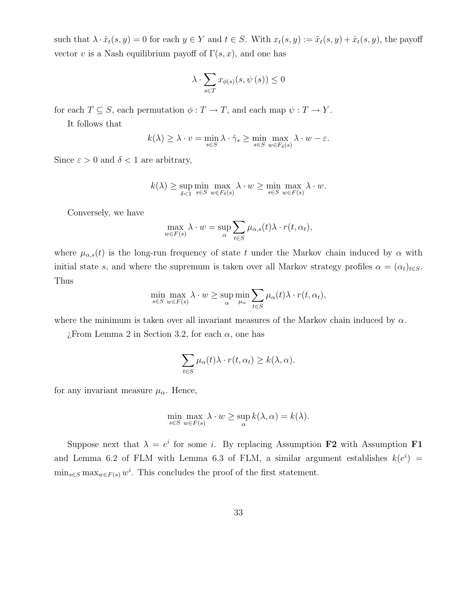such that  $\lambda \cdot \hat{x}_t(s, y) = 0$  for each  $y \in Y$  and  $t \in S$ . With  $x_t(s, y) := \tilde{x}_t(s, y) + \hat{x}_t(s, y)$ , the payoff vector v is a Nash equilibrium payoff of  $\Gamma(s, x)$ , and one has

$$
\lambda \cdot \sum_{s \in T} x_{\phi(s)}(s, \psi(s)) \le 0
$$

for each  $T \subseteq S$ , each permutation  $\phi : T \to T$ , and each map  $\psi : T \to Y$ .

It follows that

$$
k(\lambda) \geq \lambda \cdot v = \min_{s \in S} \lambda \cdot \hat{\gamma}_s \geq \min_{s \in S} \max_{w \in F_{\delta}(s)} \lambda \cdot w - \varepsilon.
$$

Since  $\varepsilon > 0$  and  $\delta < 1$  are arbitrary,

$$
k(\lambda) \ge \sup_{\delta < 1} \min_{s \in S} \max_{w \in F_{\delta}(s)} \lambda \cdot w \ge \min_{s \in S} \max_{w \in F(s)} \lambda \cdot w.
$$

Conversely, we have

$$
\max_{w \in F(s)} \lambda \cdot w = \sup_{\alpha} \sum_{t \in S} \mu_{\alpha,s}(t) \lambda \cdot r(t, \alpha_t),
$$

where  $\mu_{\alpha,s}(t)$  is the long-run frequency of state t under the Markov chain induced by  $\alpha$  with initial state s, and where the supremum is taken over all Markov strategy profiles  $\alpha = (\alpha_t)_{t \in S}$ . Thus

$$
\min_{s \in S} \max_{w \in F(s)} \lambda \cdot w \ge \sup_{\alpha} \min_{\mu_{\alpha}} \sum_{t \in S} \mu_{\alpha}(t) \lambda \cdot r(t, \alpha_t),
$$

where the minimum is taken over all invariant measures of the Markov chain induced by  $\alpha$ .

 $\chi$ From Lemma 2 in Section 3.2, for each  $\alpha$ , one has

$$
\sum_{t \in S} \mu_{\alpha}(t) \lambda \cdot r(t, \alpha_t) \geq k(\lambda, \alpha).
$$

for any invariant measure  $\mu_{\alpha}$ . Hence,

$$
\min_{s \in S} \max_{w \in F(s)} \lambda \cdot w \ge \sup_{\alpha} k(\lambda, \alpha) = k(\lambda).
$$

Suppose next that  $\lambda = e^i$  for some *i*. By replacing Assumption F2 with Assumption F1 and Lemma 6.2 of FLM with Lemma 6.3 of FLM, a similar argument establishes  $k(e^i)$  =  $\min_{s \in S} \max_{w \in F(s)} w^i$ . This concludes the proof of the first statement.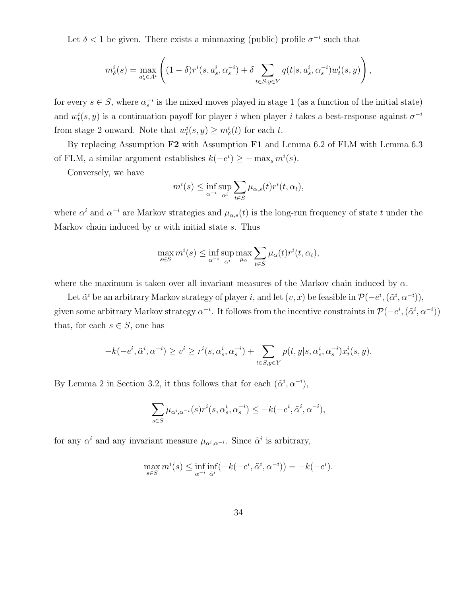Let  $\delta$  < 1 be given. There exists a minmaxing (public) profile  $\sigma^{-i}$  such that

$$
m^i_{\delta}(s) = \max_{a^i_s \in A^i} \left( (1-\delta)r^i(s, a^i_s, \alpha^{-i}_s) + \delta \sum_{t \in S, y \in Y} q(t|s, a^i_s, \alpha^{-i}_s)w^i_t(s, y) \right),
$$

for every  $s \in S$ , where  $\alpha_s^{-i}$  is the mixed moves played in stage 1 (as a function of the initial state) and  $w_t^i(s, y)$  is a continuation payoff for player i when player i takes a best-response against  $\sigma^{-i}$ from stage 2 onward. Note that  $w_t^i(s, y) \geq m_\delta^i(t)$  for each t.

By replacing Assumption F2 with Assumption F1 and Lemma 6.2 of FLM with Lemma 6.3 of FLM, a similar argument establishes  $k(-e^i) \ge -\max_s m^i(s)$ .

Conversely, we have

$$
m^{i}(s) \leq \inf_{\alpha^{-i}} \sup_{\alpha^{i}} \sum_{t \in S} \mu_{\alpha,s}(t) r^{i}(t,\alpha_{t}),
$$

where  $\alpha^i$  and  $\alpha^{-i}$  are Markov strategies and  $\mu_{\alpha,s}(t)$  is the long-run frequency of state t under the Markov chain induced by  $\alpha$  with initial state s. Thus

$$
\max_{s \in S} m^{i}(s) \le \inf_{\alpha^{-i}} \sup_{\alpha^{i}} \max_{\mu_{\alpha}} \sum_{t \in S} \mu_{\alpha}(t) r^{i}(t, \alpha_{t}),
$$

where the maximum is taken over all invariant measures of the Markov chain induced by  $\alpha$ .

Let  $\tilde{\alpha}^i$  be an arbitrary Markov strategy of player i, and let  $(v, x)$  be feasible in  $\mathcal{P}(-e^i, (\tilde{\alpha}^i, \alpha^{-i})),$ given some arbitrary Markov strategy  $\alpha^{-i}$ . It follows from the incentive constraints in  $\mathcal{P}(-e^i, (\tilde{\alpha}^i, \alpha^{-i}))$ that, for each  $s \in S$ , one has

$$
-k(-e^i,\tilde{\alpha}^i,\alpha^{-i}) \ge v^i \ge r^i(s,\alpha_s^i,\alpha_s^{-i}) + \sum_{t \in S, y \in Y} p(t,y|s,\alpha_s^i,\alpha_s^{-i}) x_t^i(s,y).
$$

By Lemma 2 in Section 3.2, it thus follows that for each  $(\tilde{\alpha}^i, \alpha^{-i}),$ 

$$
\sum_{s\in S}\mu_{\alpha^i,\alpha^{-i}}(s)r^i(s,\alpha^i_s,\alpha^{-i}_s)\leq -k(-e^i,\tilde{\alpha}^i,\alpha^{-i}),
$$

for any  $\alpha^i$  and any invariant measure  $\mu_{\alpha^i,\alpha^{-i}}$ . Since  $\tilde{\alpha}^i$  is arbitrary,

$$
\max_{s \in S} m^i(s) \le \inf_{\alpha^{-i}} \inf_{\tilde{\alpha}^i} (-k(-e^i, \tilde{\alpha}^i, \alpha^{-i})) = -k(-e^i).
$$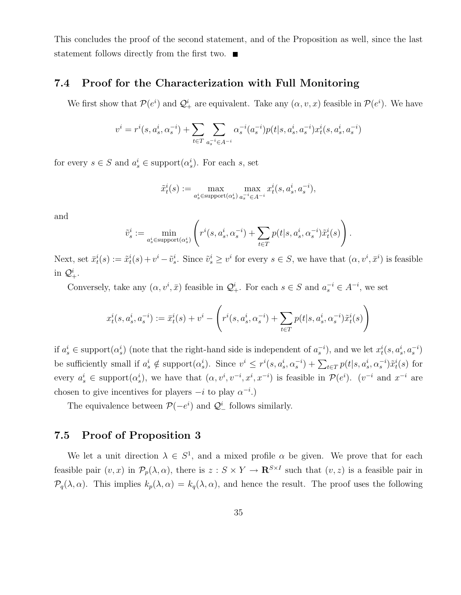This concludes the proof of the second statement, and of the Proposition as well, since the last statement follows directly from the first two.

### 7.4 Proof for the Characterization with Full Monitoring

We first show that  $\mathcal{P}(e^i)$  and  $\mathcal{Q}^i_+$  are equivalent. Take any  $(\alpha, v, x)$  feasible in  $\mathcal{P}(e^i)$ . We have

$$
v^i = r^i(s, a^i_s, \alpha^{-i}_s) + \sum_{t \in T} \sum_{a_s^{-i} \in A^{-i}} \alpha^{-i}_s(a_s^{-i}) p(t|s, a^i_s, a^{-i}_s) x^i_t(s, a^i_s, a^{-i}_s)
$$

for every  $s \in S$  and  $a_s^i \in \text{support}(\alpha_s^i)$ . For each s, set

$$
\tilde{x}_t^i(s):=\max_{a_s^i\in \mathrm{support}(\alpha_s^i)}\max_{a_s^{-i}\in A^{-i}}x_t^i(s,a_s^i,a_s^{-i}),
$$

and

$$
\tilde{v}_s^i := \min_{a_s^i \in \text{support}(\alpha_s^i)} \left( r^i(s, a_s^i, \alpha_s^{-i}) + \sum_{t \in T} p(t|s, a_s^i, \alpha_s^{-i}) \tilde{x}_t^i(s) \right).
$$

Next, set  $\bar{x}_t^i(s) := \tilde{x}_t^i(s) + v^i - \tilde{v}_s^i$ . Since  $\tilde{v}_s^i \geq v^i$  for every  $s \in S$ , we have that  $(\alpha, v^i, \bar{x}^i)$  is feasible in  $\mathcal{Q}^i_+.$ 

Conversely, take any  $(\alpha, v^i, \bar{x})$  feasible in  $\mathcal{Q}_+^i$ . For each  $s \in S$  and  $a_s^{-i} \in A^{-i}$ , we set

$$
x_t^i(s, a_s^i, a_s^{-i}) := \bar{x}_t^i(s) + v^i - \left( r^i(s, a_s^i, \alpha_s^{-i}) + \sum_{t \in T} p(t|s, a_s^i, \alpha_s^{-i}) \tilde{x}_t^i(s) \right)
$$

if  $a_s^i \in \text{support}(\alpha_s^i)$  (note that the right-hand side is independent of  $a_s^{-i}$ ), and we let  $x_t^i(s, a_s^i, a_s^{-i})$ be sufficiently small if  $a_s^i \notin \text{support}(\alpha_s^i)$ . Since  $v^i \leq r^i(s, a_s^i, \alpha_s^{-i}) + \sum_{t \in T} p(t|s, a_s^i, \alpha_s^{-i}) \tilde{x}_t^i(s)$  for every  $a_s^i \in \text{support}(\alpha_s^i)$ , we have that  $(\alpha, v^i, v^{-i}, x^i, x^{-i})$  is feasible in  $\mathcal{P}(e^i)$ .  $(v^{-i}$  and  $x^{-i}$  are chosen to give incentives for players  $-i$  to play  $\alpha^{-i}$ .)

The equivalence between  $\mathcal{P}(-e^i)$  and  $\mathcal{Q}^i$  follows similarly.

### 7.5 Proof of Proposition 3

We let a unit direction  $\lambda \in S^1$ , and a mixed profile  $\alpha$  be given. We prove that for each feasible pair  $(v, x)$  in  $\mathcal{P}_p(\lambda, \alpha)$ , there is  $z : S \times Y \to \mathbf{R}^{S \times I}$  such that  $(v, z)$  is a feasible pair in  $\mathcal{P}_q(\lambda,\alpha)$ . This implies  $k_p(\lambda,\alpha) = k_q(\lambda,\alpha)$ , and hence the result. The proof uses the following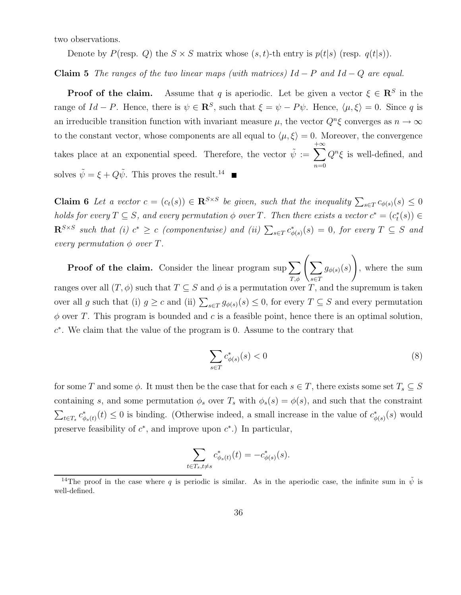two observations.

Denote by  $P(\text{resp. } Q)$  the  $S \times S$  matrix whose  $(s, t)$ -th entry is  $p(t|s)$  (resp.  $q(t|s)$ ).

Claim 5 The ranges of the two linear maps (with matrices)  $Id - P$  and  $Id - Q$  are equal.

**Proof of the claim.** Assume that q is aperiodic. Let be given a vector  $\xi \in \mathbb{R}^S$  in the range of  $Id - P$ . Hence, there is  $\psi \in \mathbb{R}^S$ , such that  $\xi = \psi - P\psi$ . Hence,  $\langle \mu, \xi \rangle = 0$ . Since q is an irreducible transition function with invariant measure  $\mu$ , the vector  $Q^n \xi$  converges as  $n \to \infty$ to the constant vector, whose components are all equal to  $\langle \mu, \xi \rangle = 0$ . Moreover, the convergence takes place at an exponential speed. Therefore, the vector  $\tilde{\psi} := \sum$  $+\infty$  $n=0$  $Q^n\xi$  is well-defined, and solves  $\tilde{\psi} = \xi + Q\tilde{\psi}$ . This proves the result.<sup>14</sup>

**Claim 6** Let a vector  $c = (c_t(s)) \in \mathbb{R}^{S \times S}$  be given, such that the inequality  $\sum_{s \in T} c_{\phi(s)}(s) \leq 0$ holds for every  $T \subseteq S$ , and every permutation  $\phi$  over T. Then there exists a vector  $c^* = (c_t^*(s)) \in$  $\mathbf{R}^{S\times S}$  such that (i)  $c^*\geq c$  (componentwise) and (ii)  $\sum_{s\in T}c^*_{\phi(s)}(s)=0$ , for every  $T\subseteq S$  and every permutation  $\phi$  over T.

**Proof of the claim.** Consider the linear program sup  $\sum$  $\sum_{T,\phi}\Biggl( \sum_{s\in T}\,$  $g_{\phi(s)}(s)$  $\setminus$ , where the sum ranges over all  $(T, \phi)$  such that  $T \subseteq S$  and  $\phi$  is a permutation over T, and the supremum is taken over all g such that (i)  $g \ge c$  and (ii)  $\sum_{s \in T} g_{\phi(s)}(s) \le 0$ , for every  $T \subseteq S$  and every permutation  $\phi$  over T. This program is bounded and c is a feasible point, hence there is an optimal solution, c ∗ . We claim that the value of the program is 0. Assume to the contrary that

$$
\sum_{s \in T} c^*_{\phi(s)}(s) < 0 \tag{8}
$$

for some T and some  $\phi$ . It must then be the case that for each  $s \in T$ , there exists some set  $T_s \subseteq S$ containing s, and some permutation  $\phi_s$  over  $T_s$  with  $\phi_s(s) = \phi(s)$ , and such that the constraint  $\sum_{t\in T_s} c^*_{\phi_s(t)}(t) \leq 0$  is binding. (Otherwise indeed, a small increase in the value of  $c^*_{\phi(s)}(s)$  would preserve feasibility of  $c^*$ , and improve upon  $c^*$ .) In particular,

$$
\sum_{t \in T_s, t \neq s} c^*_{\phi_s(t)}(t) = -c^*_{\phi(s)}(s).
$$

<sup>&</sup>lt;sup>14</sup>The proof in the case where q is periodic is similar. As in the aperiodic case, the infinite sum in  $\tilde{\psi}$  is well-defined.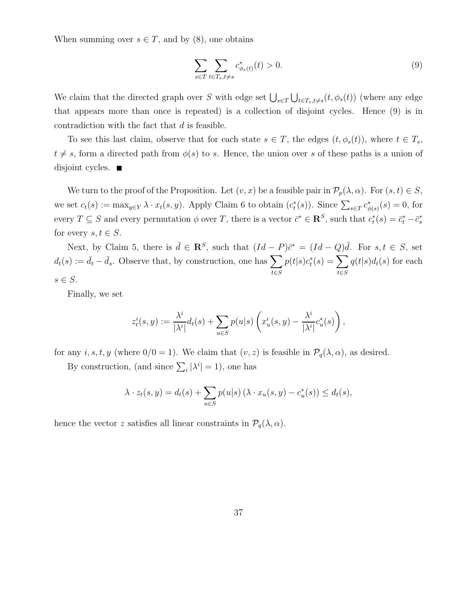When summing over  $s \in T$ , and by (8), one obtains

$$
\sum_{s \in T} \sum_{t \in T_s, t \neq s} c^*_{\phi_s(t)}(t) > 0. \tag{9}
$$

We claim that the directed graph over S with edge set  $\bigcup_{s\in T}\bigcup_{t\in T_s,t\neq s}(t,\phi_s(t))$  (where any edge that appears more than once is repeated) is a collection of disjoint cycles. Hence (9) is in contradiction with the fact that  $d$  is feasible.

To see this last claim, observe that for each state  $s \in T$ , the edges  $(t, \phi_s(t))$ , where  $t \in T_s$ ,  $t \neq s$ , form a directed path from  $\phi(s)$  to s. Hence, the union over s of these paths is a union of disjoint cycles.  $\blacksquare$ 

We turn to the proof of the Proposition. Let  $(v, x)$  be a feasible pair in  $\mathcal{P}_p(\lambda, \alpha)$ . For  $(s, t) \in S$ , we set  $c_t(s) := \max_{y \in Y} \lambda \cdot x_t(s, y)$ . Apply Claim 6 to obtain  $(c_t^*(s))$ . Since  $\sum_{s \in T} c_{\phi(s)}^*(s) = 0$ , for every  $T \subseteq S$  and every permutation  $\phi$  over T, there is a vector  $\bar{c}^* \in \mathbb{R}^S$ , such that  $c_t^*(s) = \bar{c}_t^* - \bar{c}_s^*$ for every  $s, t \in S$ .

Next, by Claim 5, there is  $\bar{d} \in \mathbb{R}^S$ , such that  $(Id - P)\bar{c}^* = (Id - Q)\bar{d}$ . For  $s, t \in S$ , set  $d_t(s) := \bar{d}_t - \bar{d}_s$ . Observe that, by construction, one has  $\sum$ t∈S  $p(t|s)c_t^*(s) = \sum$ t∈S  $q(t|s)d_t(s)$  for each  $s \in S$ .

Finally, we set

$$
z_t^i(s,y) := \frac{\lambda^i}{|\lambda^i|} d_t(s) + \sum_{u \in S} p(u|s) \left( x_u^i(s,y) - \frac{\lambda^i}{|\lambda^i|} c_u^*(s) \right),
$$

for any  $i, s, t, y$  (where  $0/0 = 1$ ). We claim that  $(v, z)$  is feasible in  $\mathcal{P}_q(\lambda, \alpha)$ , as desired.

By construction, (and since  $\sum_i |\lambda^i| = 1$ ), one has

$$
\lambda \cdot z_t(s, y) = d_t(s) + \sum_{u \in S} p(u|s) \left(\lambda \cdot x_u(s, y) - c_u^*(s)\right) \le d_t(s),
$$

hence the vector z satisfies all linear constraints in  $\mathcal{P}_q(\lambda, \alpha)$ .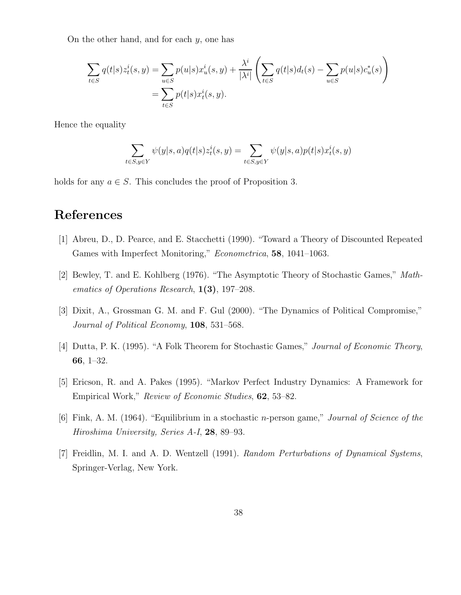On the other hand, and for each  $y$ , one has

$$
\sum_{t \in S} q(t|s) z_t^i(s, y) = \sum_{u \in S} p(u|s) x_u^i(s, y) + \frac{\lambda^i}{|\lambda^i|} \left( \sum_{t \in S} q(t|s) d_t(s) - \sum_{u \in S} p(u|s) c_u^*(s) \right)
$$
  
= 
$$
\sum_{t \in S} p(t|s) x_t^i(s, y).
$$

Hence the equality

$$
\sum_{t \in S, y \in Y} \psi(y|s, a) q(t|s) z_t^i(s, y) = \sum_{t \in S, y \in Y} \psi(y|s, a) p(t|s) x_t^i(s, y)
$$

holds for any  $a \in S$ . This concludes the proof of Proposition 3.

# References

- [1] Abreu, D., D. Pearce, and E. Stacchetti (1990). "Toward a Theory of Discounted Repeated Games with Imperfect Monitoring," *Econometrica*, **58**, 1041-1063.
- [2] Bewley, T. and E. Kohlberg (1976). "The Asymptotic Theory of Stochastic Games," Mathematics of Operations Research, 1(3), 197–208.
- [3] Dixit, A., Grossman G. M. and F. Gul (2000). "The Dynamics of Political Compromise," Journal of Political Economy, 108, 531–568.
- [4] Dutta, P. K. (1995). "A Folk Theorem for Stochastic Games," Journal of Economic Theory, 66, 1–32.
- [5] Ericson, R. and A. Pakes (1995). "Markov Perfect Industry Dynamics: A Framework for Empirical Work," Review of Economic Studies, 62, 53–82.
- [6] Fink, A. M. (1964). "Equilibrium in a stochastic n-person game," Journal of Science of the Hiroshima University, Series A-I, 28, 89–93.
- [7] Freidlin, M. I. and A. D. Wentzell (1991). Random Perturbations of Dynamical Systems, Springer-Verlag, New York.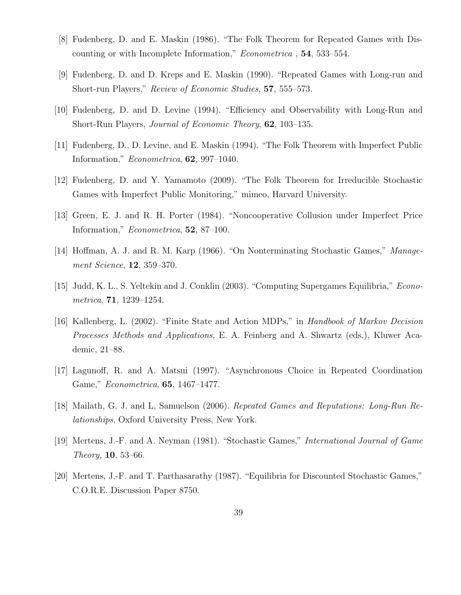- [8] Fudenberg, D. and E. Maskin (1986). "The Folk Theorem for Repeated Games with Discounting or with Incomplete Information," Econometrica , 54, 533–554.
- [9] Fudenberg, D. and D. Kreps and E. Maskin (1990). "Repeated Games with Long-run and Short-run Players," Review of Economic Studies, 57, 555–573.
- [10] Fudenberg, D. and D. Levine (1994). "Efficiency and Observability with Long-Run and Short-Run Players, *Journal of Economic Theory*, **62**, 103–135.
- [11] Fudenberg, D., D. Levine, and E. Maskin (1994). "The Folk Theorem with Imperfect Public Information,"  $Econometrica$ , **62**, 997–1040.
- [12] Fudenberg, D. and Y. Yamamoto (2009). "The Folk Theorem for Irreducible Stochastic Games with Imperfect Public Monitoring," mimeo, Harvard University.
- [13] Green, E. J. and R. H. Porter (1984). "Noncooperative Collusion under Imperfect Price Information," Econometrica, 52, 87–100.
- [14] Hoffman, A. J. and R. M. Karp (1966). "On Nonterminating Stochastic Games," Management Science, 12, 359–370.
- [15] Judd, K. L., S. Yeltekin and J. Conklin (2003). "Computing Supergames Equilibria," Econometrica, 71, 1239–1254.
- [16] Kallenberg, L. (2002). "Finite State and Action MDPs," in Handbook of Markov Decision Processes Methods and Applications, E. A. Feinberg and A. Shwartz (eds.), Kluwer Academic, 21–88.
- [17] Lagunoff, R. and A. Matsui (1997). "Asynchronous Choice in Repeated Coordination Game," Econometrica, 65, 1467–1477.
- [18] Mailath, G. J. and L. Samuelson (2006). Repeated Games and Reputations: Long-Run Relationships, Oxford University Press, New York.
- [19] Mertens, J.-F. and A. Neyman (1981). "Stochastic Games," International Journal of Game Theory, 10, 53–66.
- [20] Mertens, J.-F. and T. Parthasarathy (1987). "Equilibria for Discounted Stochastic Games," C.O.R.E. Discussion Paper 8750.